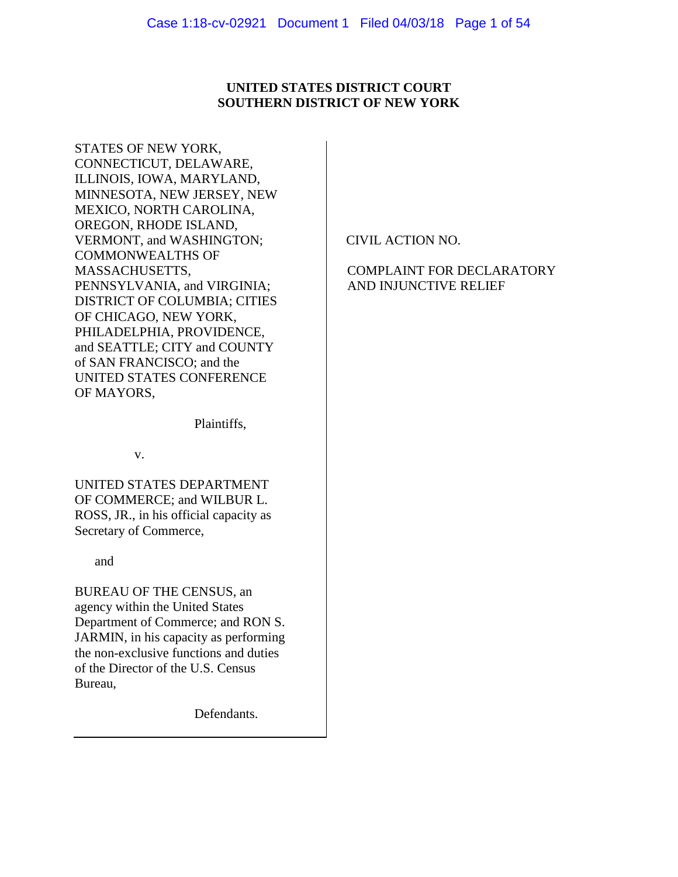# **UNITED STATES DISTRICT COURT SOUTHERN DISTRICT OF NEW YORK**

STATES OF NEW YORK, CONNECTICUT, DELAWARE, ILLINOIS, IOWA, MARYLAND, MINNESOTA, NEW JERSEY, NEW MEXICO, NORTH CAROLINA, OREGON, RHODE ISLAND, VERMONT, and WASHINGTON; COMMONWEALTHS OF MASSACHUSETTS, PENNSYLVANIA, and VIRGINIA; DISTRICT OF COLUMBIA; CITIES OF CHICAGO, NEW YORK, PHILADELPHIA, PROVIDENCE, and SEATTLE; CITY and COUNTY of SAN FRANCISCO; and the UNITED STATES CONFERENCE OF MAYORS,

Plaintiffs,

v.

UNITED STATES DEPARTMENT OF COMMERCE; and WILBUR L. ROSS, JR., in his official capacity as Secretary of Commerce,

and

BUREAU OF THE CENSUS, an agency within the United States Department of Commerce; and RON S. JARMIN, in his capacity as performing the non-exclusive functions and duties of the Director of the U.S. Census Bureau,

Defendants.

CIVIL ACTION NO.

# COMPLAINT FOR DECLARATORY AND INJUNCTIVE RELIEF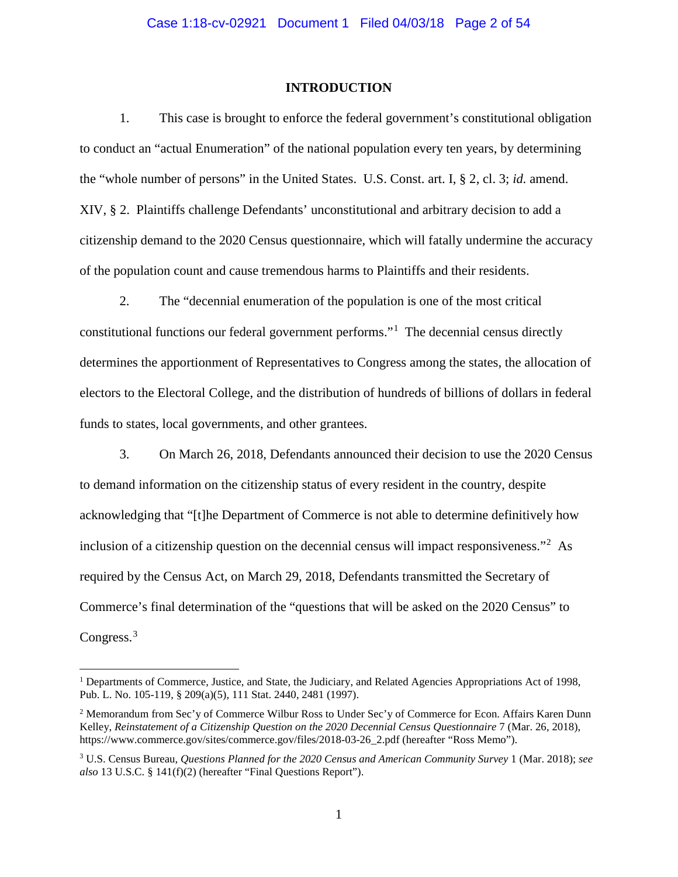## **INTRODUCTION**

1. This case is brought to enforce the federal government's constitutional obligation to conduct an "actual Enumeration" of the national population every ten years, by determining the "whole number of persons" in the United States. U.S. Const. art. I, § 2, cl. 3; *id.* amend. XIV, § 2. Plaintiffs challenge Defendants' unconstitutional and arbitrary decision to add a citizenship demand to the 2020 Census questionnaire, which will fatally undermine the accuracy of the population count and cause tremendous harms to Plaintiffs and their residents.

2. The "decennial enumeration of the population is one of the most critical constitutional functions our federal government performs."<sup>[1](#page-1-0)</sup> The decennial census directly determines the apportionment of Representatives to Congress among the states, the allocation of electors to the Electoral College, and the distribution of hundreds of billions of dollars in federal funds to states, local governments, and other grantees.

3. On March 26, 2018, Defendants announced their decision to use the 2020 Census to demand information on the citizenship status of every resident in the country, despite acknowledging that "[t]he Department of Commerce is not able to determine definitively how inclusion of a citizenship question on the decennial census will impact responsiveness."<sup>[2](#page-1-1)</sup> As required by the Census Act, on March 29, 2018, Defendants transmitted the Secretary of Commerce's final determination of the "questions that will be asked on the 2020 Census" to Congress.<sup>[3](#page-1-2)</sup>

<span id="page-1-0"></span><sup>&</sup>lt;sup>1</sup> Departments of Commerce, Justice, and State, the Judiciary, and Related Agencies Appropriations Act of 1998, Pub. L. No. 105-119, § 209(a)(5), 111 Stat. 2440, 2481 (1997).

<span id="page-1-1"></span><sup>2</sup> Memorandum from Sec'y of Commerce Wilbur Ross to Under Sec'y of Commerce for Econ. Affairs Karen Dunn Kelley, *Reinstatement of a Citizenship Question on the 2020 Decennial Census Questionnaire* 7 (Mar. 26, 2018), https://www.commerce.gov/sites/commerce.gov/files/2018-03-26\_2.pdf (hereafter "Ross Memo").

<span id="page-1-2"></span><sup>3</sup> U.S. Census Bureau, *Questions Planned for the 2020 Census and American Community Survey* 1 (Mar. 2018); *see also* 13 U.S.C. § 141(f)(2) (hereafter "Final Questions Report").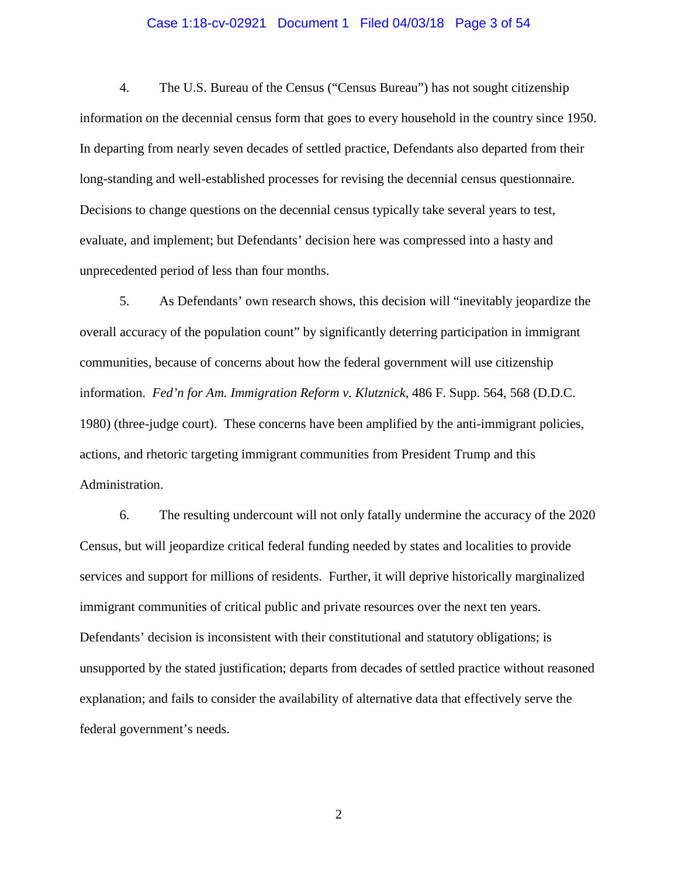## Case 1:18-cv-02921 Document 1 Filed 04/03/18 Page 3 of 54

4. The U.S. Bureau of the Census ("Census Bureau") has not sought citizenship information on the decennial census form that goes to every household in the country since 1950. In departing from nearly seven decades of settled practice, Defendants also departed from their long-standing and well-established processes for revising the decennial census questionnaire. Decisions to change questions on the decennial census typically take several years to test, evaluate, and implement; but Defendants' decision here was compressed into a hasty and unprecedented period of less than four months.

5. As Defendants' own research shows, this decision will "inevitably jeopardize the overall accuracy of the population count" by significantly deterring participation in immigrant communities, because of concerns about how the federal government will use citizenship information. *Fed'n for Am. Immigration Reform v. Klutznick*, 486 F. Supp. 564, 568 (D.D.C. 1980) (three-judge court). These concerns have been amplified by the anti-immigrant policies, actions, and rhetoric targeting immigrant communities from President Trump and this Administration.

6. The resulting undercount will not only fatally undermine the accuracy of the 2020 Census, but will jeopardize critical federal funding needed by states and localities to provide services and support for millions of residents. Further, it will deprive historically marginalized immigrant communities of critical public and private resources over the next ten years. Defendants' decision is inconsistent with their constitutional and statutory obligations; is unsupported by the stated justification; departs from decades of settled practice without reasoned explanation; and fails to consider the availability of alternative data that effectively serve the federal government's needs.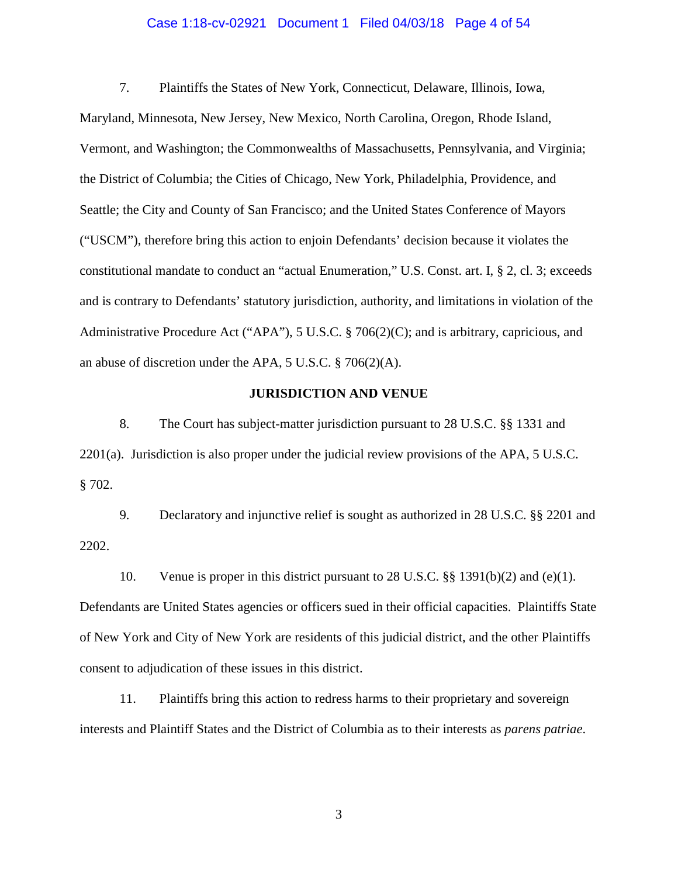## Case 1:18-cv-02921 Document 1 Filed 04/03/18 Page 4 of 54

7. Plaintiffs the States of New York, Connecticut, Delaware, Illinois, Iowa, Maryland, Minnesota, New Jersey, New Mexico, North Carolina, Oregon, Rhode Island, Vermont, and Washington; the Commonwealths of Massachusetts, Pennsylvania, and Virginia; the District of Columbia; the Cities of Chicago, New York, Philadelphia, Providence, and Seattle; the City and County of San Francisco; and the United States Conference of Mayors ("USCM"), therefore bring this action to enjoin Defendants' decision because it violates the constitutional mandate to conduct an "actual Enumeration," U.S. Const. art. I, § 2, cl. 3; exceeds and is contrary to Defendants' statutory jurisdiction, authority, and limitations in violation of the Administrative Procedure Act ("APA"), 5 U.S.C. § 706(2)(C); and is arbitrary, capricious, and an abuse of discretion under the APA, 5 U.S.C. § 706(2)(A).

## **JURISDICTION AND VENUE**

8. The Court has subject-matter jurisdiction pursuant to 28 U.S.C. §§ 1331 and 2201(a). Jurisdiction is also proper under the judicial review provisions of the APA, 5 U.S.C. § 702.

9. Declaratory and injunctive relief is sought as authorized in 28 U.S.C. §§ 2201 and 2202.

10. Venue is proper in this district pursuant to 28 U.S.C. §§ 1391(b)(2) and (e)(1).

Defendants are United States agencies or officers sued in their official capacities. Plaintiffs State of New York and City of New York are residents of this judicial district, and the other Plaintiffs consent to adjudication of these issues in this district.

11. Plaintiffs bring this action to redress harms to their proprietary and sovereign interests and Plaintiff States and the District of Columbia as to their interests as *parens patriae*.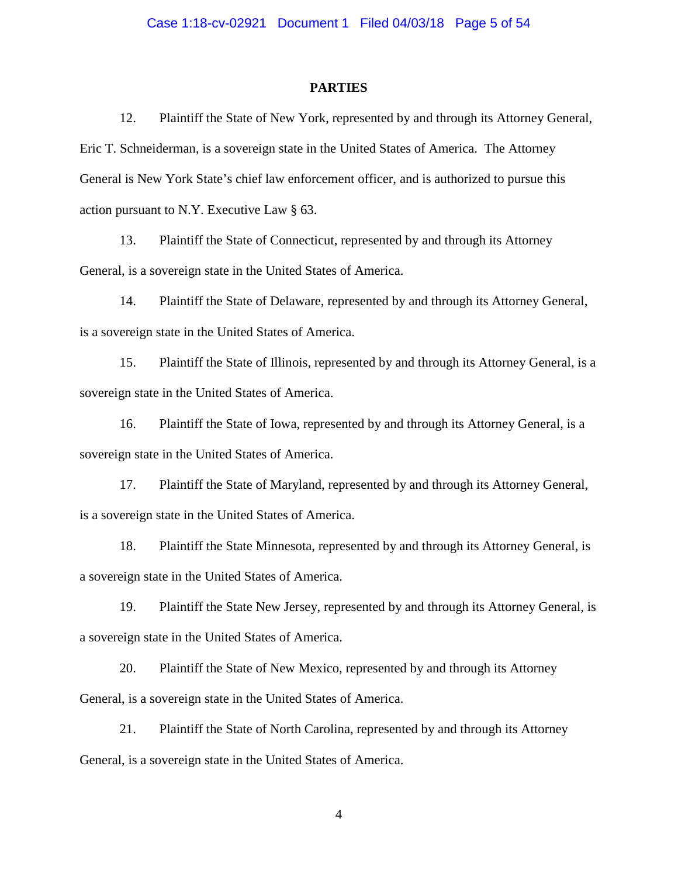#### **PARTIES**

12. Plaintiff the State of New York, represented by and through its Attorney General, Eric T. Schneiderman, is a sovereign state in the United States of America. The Attorney General is New York State's chief law enforcement officer, and is authorized to pursue this action pursuant to N.Y. Executive Law § 63.

13. Plaintiff the State of Connecticut, represented by and through its Attorney General, is a sovereign state in the United States of America.

14. Plaintiff the State of Delaware, represented by and through its Attorney General, is a sovereign state in the United States of America.

15. Plaintiff the State of Illinois, represented by and through its Attorney General, is a sovereign state in the United States of America.

16. Plaintiff the State of Iowa, represented by and through its Attorney General, is a sovereign state in the United States of America.

17. Plaintiff the State of Maryland, represented by and through its Attorney General, is a sovereign state in the United States of America.

18. Plaintiff the State Minnesota, represented by and through its Attorney General, is a sovereign state in the United States of America.

19. Plaintiff the State New Jersey, represented by and through its Attorney General, is a sovereign state in the United States of America.

20. Plaintiff the State of New Mexico, represented by and through its Attorney General, is a sovereign state in the United States of America.

21. Plaintiff the State of North Carolina, represented by and through its Attorney General, is a sovereign state in the United States of America.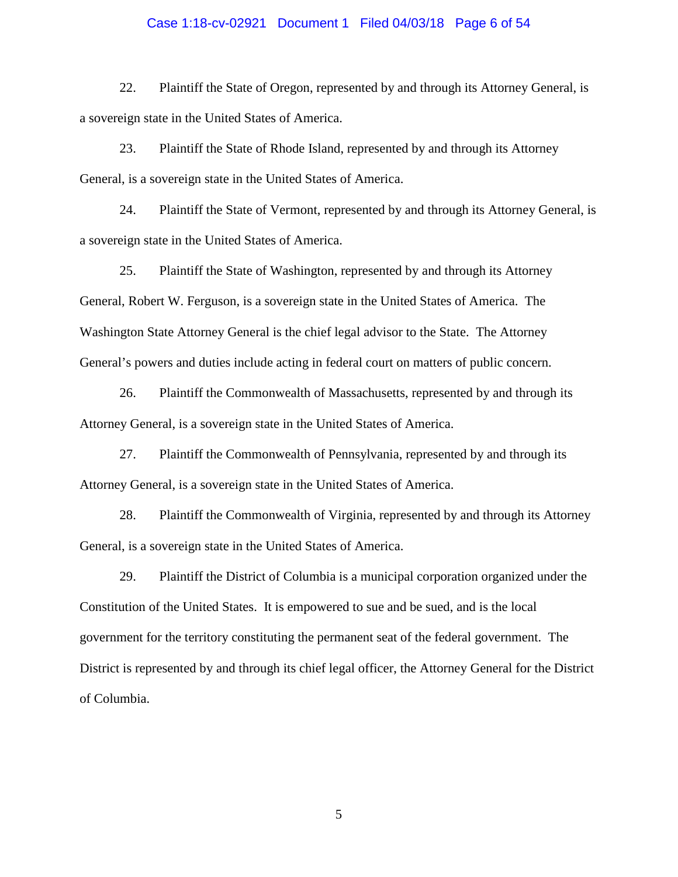## Case 1:18-cv-02921 Document 1 Filed 04/03/18 Page 6 of 54

22. Plaintiff the State of Oregon, represented by and through its Attorney General, is a sovereign state in the United States of America.

23. Plaintiff the State of Rhode Island, represented by and through its Attorney General, is a sovereign state in the United States of America.

24. Plaintiff the State of Vermont, represented by and through its Attorney General, is a sovereign state in the United States of America.

25. Plaintiff the State of Washington, represented by and through its Attorney General, Robert W. Ferguson, is a sovereign state in the United States of America. The Washington State Attorney General is the chief legal advisor to the State. The Attorney General's powers and duties include acting in federal court on matters of public concern.

26. Plaintiff the Commonwealth of Massachusetts, represented by and through its Attorney General, is a sovereign state in the United States of America.

27. Plaintiff the Commonwealth of Pennsylvania, represented by and through its Attorney General, is a sovereign state in the United States of America.

28. Plaintiff the Commonwealth of Virginia, represented by and through its Attorney General, is a sovereign state in the United States of America.

29. Plaintiff the District of Columbia is a municipal corporation organized under the Constitution of the United States. It is empowered to sue and be sued, and is the local government for the territory constituting the permanent seat of the federal government. The District is represented by and through its chief legal officer, the Attorney General for the District of Columbia.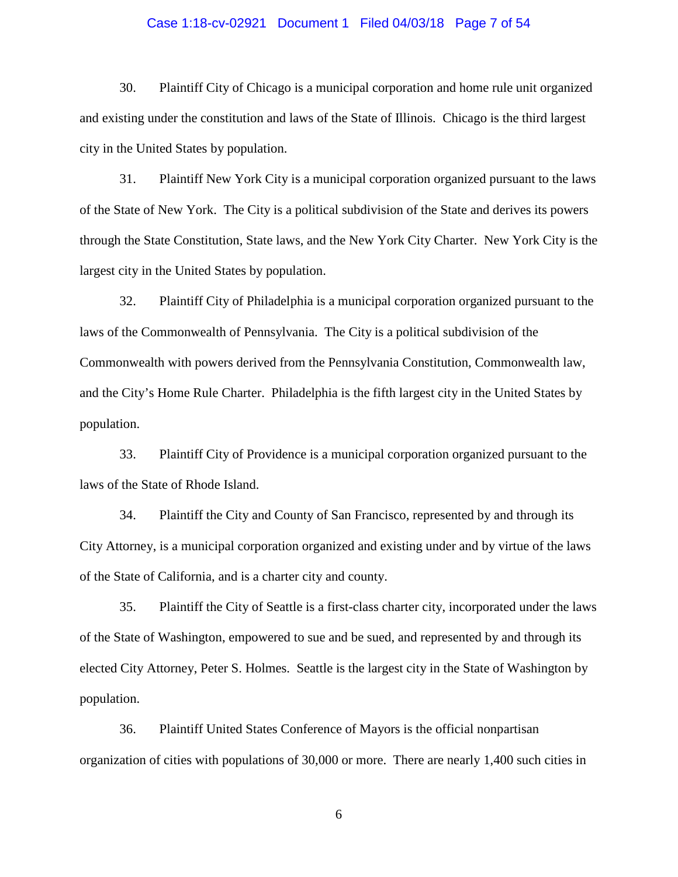## Case 1:18-cv-02921 Document 1 Filed 04/03/18 Page 7 of 54

30. Plaintiff City of Chicago is a municipal corporation and home rule unit organized and existing under the constitution and laws of the State of Illinois. Chicago is the third largest city in the United States by population.

31. Plaintiff New York City is a municipal corporation organized pursuant to the laws of the State of New York. The City is a political subdivision of the State and derives its powers through the State Constitution, State laws, and the New York City Charter. New York City is the largest city in the United States by population.

32. Plaintiff City of Philadelphia is a municipal corporation organized pursuant to the laws of the Commonwealth of Pennsylvania. The City is a political subdivision of the Commonwealth with powers derived from the Pennsylvania Constitution, Commonwealth law, and the City's Home Rule Charter. Philadelphia is the fifth largest city in the United States by population.

33. Plaintiff City of Providence is a municipal corporation organized pursuant to the laws of the State of Rhode Island.

34. Plaintiff the City and County of San Francisco, represented by and through its City Attorney, is a municipal corporation organized and existing under and by virtue of the laws of the State of California, and is a charter city and county.

35. Plaintiff the City of Seattle is a first-class charter city, incorporated under the laws of the State of Washington, empowered to sue and be sued, and represented by and through its elected City Attorney, Peter S. Holmes. Seattle is the largest city in the State of Washington by population.

36. Plaintiff United States Conference of Mayors is the official nonpartisan organization of cities with populations of 30,000 or more. There are nearly 1,400 such cities in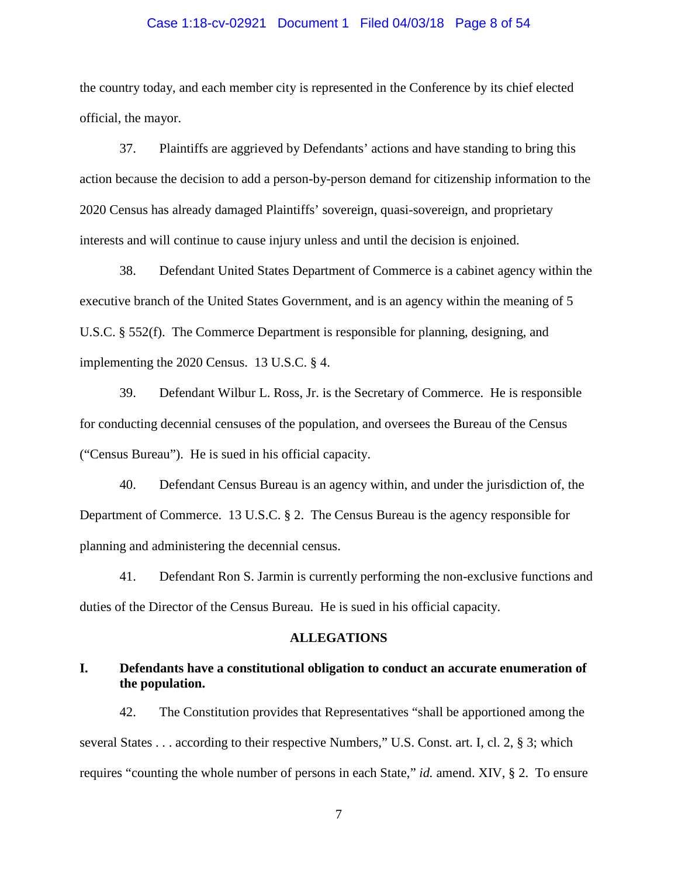## Case 1:18-cv-02921 Document 1 Filed 04/03/18 Page 8 of 54

the country today, and each member city is represented in the Conference by its chief elected official, the mayor.

37. Plaintiffs are aggrieved by Defendants' actions and have standing to bring this action because the decision to add a person-by-person demand for citizenship information to the 2020 Census has already damaged Plaintiffs' sovereign, quasi-sovereign, and proprietary interests and will continue to cause injury unless and until the decision is enjoined.

38. Defendant United States Department of Commerce is a cabinet agency within the executive branch of the United States Government, and is an agency within the meaning of 5 U.S.C. § 552(f). The Commerce Department is responsible for planning, designing, and implementing the 2020 Census. 13 U.S.C. § 4.

39. Defendant Wilbur L. Ross, Jr. is the Secretary of Commerce. He is responsible for conducting decennial censuses of the population, and oversees the Bureau of the Census ("Census Bureau"). He is sued in his official capacity.

40. Defendant Census Bureau is an agency within, and under the jurisdiction of, the Department of Commerce. 13 U.S.C. § 2. The Census Bureau is the agency responsible for planning and administering the decennial census.

41. Defendant Ron S. Jarmin is currently performing the non-exclusive functions and duties of the Director of the Census Bureau. He is sued in his official capacity.

#### **ALLEGATIONS**

## **I. Defendants have a constitutional obligation to conduct an accurate enumeration of the population.**

42. The Constitution provides that Representatives "shall be apportioned among the several States . . . according to their respective Numbers," U.S. Const. art. I, cl. 2, § 3; which requires "counting the whole number of persons in each State," *id.* amend. XIV, § 2. To ensure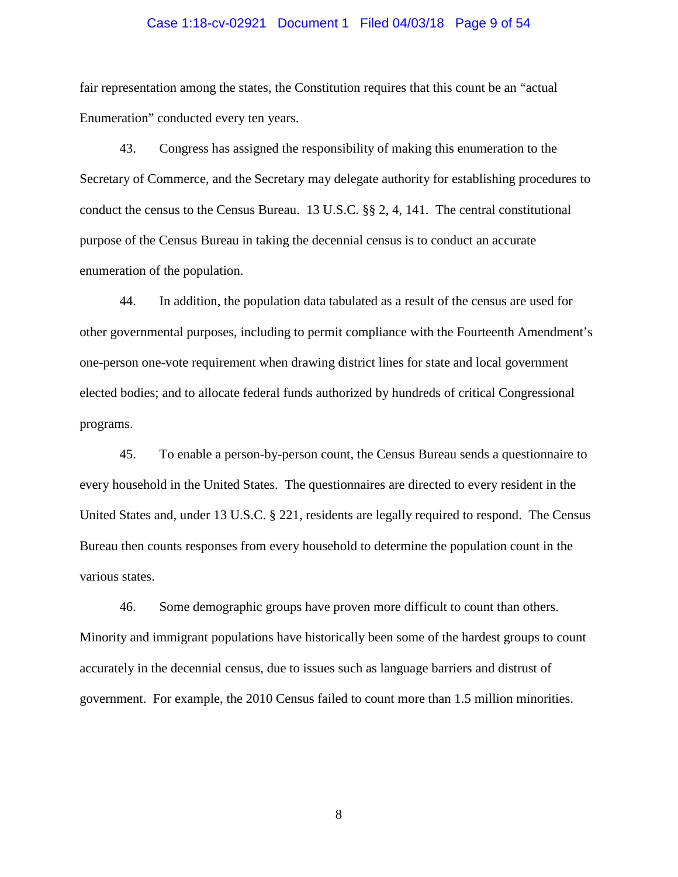## Case 1:18-cv-02921 Document 1 Filed 04/03/18 Page 9 of 54

fair representation among the states, the Constitution requires that this count be an "actual Enumeration" conducted every ten years.

43. Congress has assigned the responsibility of making this enumeration to the Secretary of Commerce, and the Secretary may delegate authority for establishing procedures to conduct the census to the Census Bureau. 13 U.S.C. §§ 2, 4, 141. The central constitutional purpose of the Census Bureau in taking the decennial census is to conduct an accurate enumeration of the population.

44. In addition, the population data tabulated as a result of the census are used for other governmental purposes, including to permit compliance with the Fourteenth Amendment's one-person one-vote requirement when drawing district lines for state and local government elected bodies; and to allocate federal funds authorized by hundreds of critical Congressional programs.

45. To enable a person-by-person count, the Census Bureau sends a questionnaire to every household in the United States. The questionnaires are directed to every resident in the United States and, under 13 U.S.C. § 221, residents are legally required to respond. The Census Bureau then counts responses from every household to determine the population count in the various states.

46. Some demographic groups have proven more difficult to count than others. Minority and immigrant populations have historically been some of the hardest groups to count accurately in the decennial census, due to issues such as language barriers and distrust of government. For example, the 2010 Census failed to count more than 1.5 million minorities.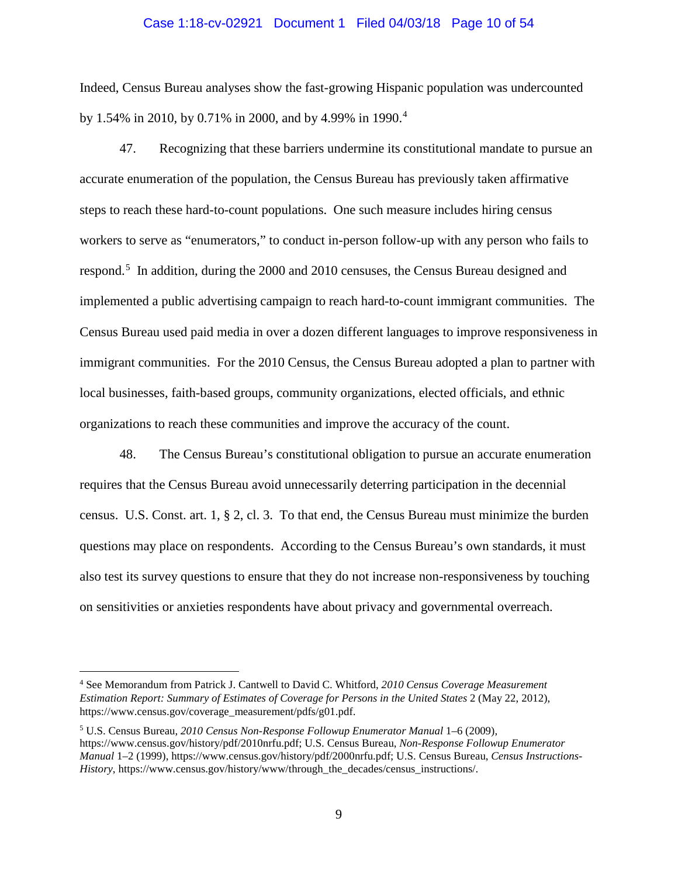#### Case 1:18-cv-02921 Document 1 Filed 04/03/18 Page 10 of 54

Indeed, Census Bureau analyses show the fast-growing Hispanic population was undercounted by 1.54% in 2010, by 0.71% in 2000, and by 4.99% in 1990.[4](#page-9-0)

47. Recognizing that these barriers undermine its constitutional mandate to pursue an accurate enumeration of the population, the Census Bureau has previously taken affirmative steps to reach these hard-to-count populations. One such measure includes hiring census workers to serve as "enumerators," to conduct in-person follow-up with any person who fails to respond.<sup>[5](#page-9-1)</sup> In addition, during the 2000 and 2010 censuses, the Census Bureau designed and implemented a public advertising campaign to reach hard-to-count immigrant communities. The Census Bureau used paid media in over a dozen different languages to improve responsiveness in immigrant communities. For the 2010 Census, the Census Bureau adopted a plan to partner with local businesses, faith-based groups, community organizations, elected officials, and ethnic organizations to reach these communities and improve the accuracy of the count.

48. The Census Bureau's constitutional obligation to pursue an accurate enumeration requires that the Census Bureau avoid unnecessarily deterring participation in the decennial census. U.S. Const. art. 1, § 2, cl. 3. To that end, the Census Bureau must minimize the burden questions may place on respondents. According to the Census Bureau's own standards, it must also test its survey questions to ensure that they do not increase non-responsiveness by touching on sensitivities or anxieties respondents have about privacy and governmental overreach.

<span id="page-9-0"></span> <sup>4</sup> See Memorandum from Patrick J. Cantwell to David C. Whitford, *2010 Census Coverage Measurement Estimation Report: Summary of Estimates of Coverage for Persons in the United States* 2 (May 22, 2012), https://www.census.gov/coverage\_measurement/pdfs/g01.pdf.

<span id="page-9-1"></span><sup>5</sup> U.S. Census Bureau, *2010 Census Non-Response Followup Enumerator Manual* 1–6 (2009), https://www.census.gov/history/pdf/2010nrfu.pdf; U.S. Census Bureau, *Non-Response Followup Enumerator Manual* 1–2 (1999), https://www.census.gov/history/pdf/2000nrfu.pdf; U.S. Census Bureau, *Census Instructions-History*, https://www.census.gov/history/www/through\_the\_decades/census\_instructions/.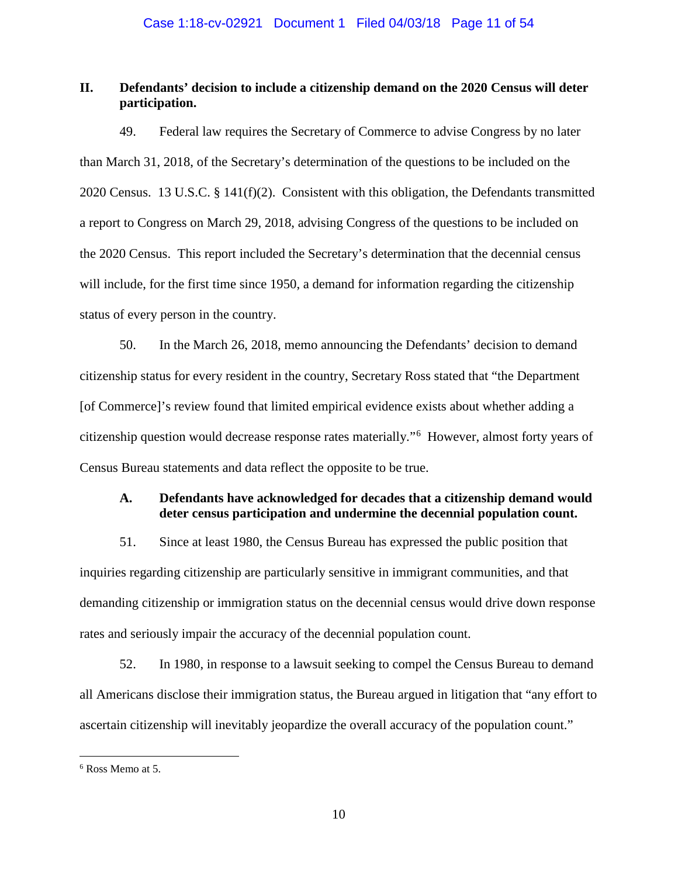# **II. Defendants' decision to include a citizenship demand on the 2020 Census will deter participation.**

49. Federal law requires the Secretary of Commerce to advise Congress by no later than March 31, 2018, of the Secretary's determination of the questions to be included on the 2020 Census. 13 U.S.C. § 141(f)(2). Consistent with this obligation, the Defendants transmitted a report to Congress on March 29, 2018, advising Congress of the questions to be included on the 2020 Census. This report included the Secretary's determination that the decennial census will include, for the first time since 1950, a demand for information regarding the citizenship status of every person in the country.

50. In the March 26, 2018, memo announcing the Defendants' decision to demand citizenship status for every resident in the country, Secretary Ross stated that "the Department [of Commerce]'s review found that limited empirical evidence exists about whether adding a citizenship question would decrease response rates materially."[6](#page-10-0) However, almost forty years of Census Bureau statements and data reflect the opposite to be true.

# **A. Defendants have acknowledged for decades that a citizenship demand would deter census participation and undermine the decennial population count.**

51. Since at least 1980, the Census Bureau has expressed the public position that inquiries regarding citizenship are particularly sensitive in immigrant communities, and that demanding citizenship or immigration status on the decennial census would drive down response rates and seriously impair the accuracy of the decennial population count.

52. In 1980, in response to a lawsuit seeking to compel the Census Bureau to demand all Americans disclose their immigration status, the Bureau argued in litigation that "any effort to ascertain citizenship will inevitably jeopardize the overall accuracy of the population count."

<span id="page-10-0"></span> <sup>6</sup> Ross Memo at 5.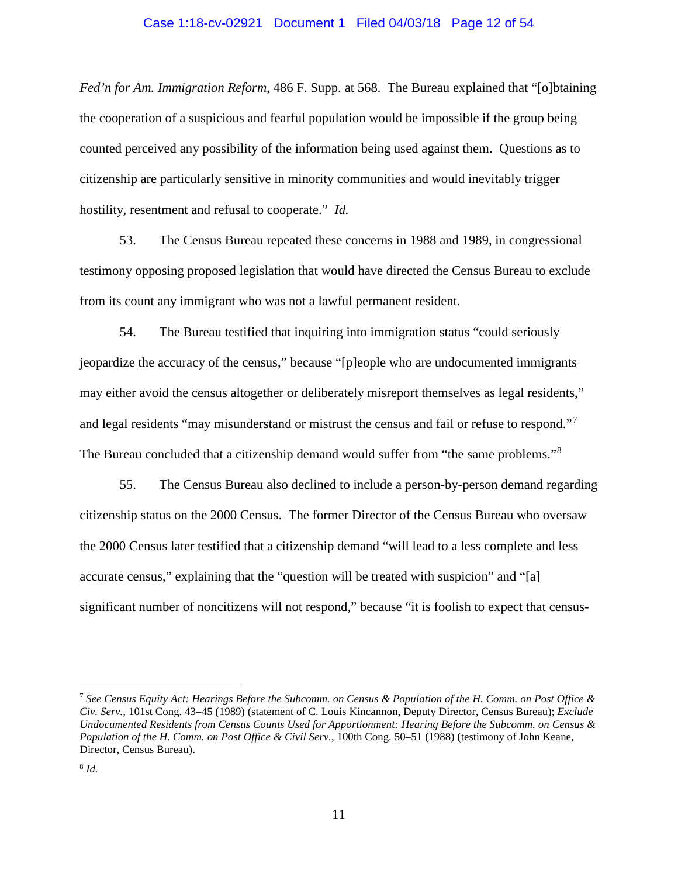#### Case 1:18-cv-02921 Document 1 Filed 04/03/18 Page 12 of 54

*Fed'n for Am. Immigration Reform*, 486 F. Supp. at 568. The Bureau explained that "[o]btaining the cooperation of a suspicious and fearful population would be impossible if the group being counted perceived any possibility of the information being used against them. Questions as to citizenship are particularly sensitive in minority communities and would inevitably trigger hostility, resentment and refusal to cooperate." *Id.*

53. The Census Bureau repeated these concerns in 1988 and 1989, in congressional testimony opposing proposed legislation that would have directed the Census Bureau to exclude from its count any immigrant who was not a lawful permanent resident.

54. The Bureau testified that inquiring into immigration status "could seriously jeopardize the accuracy of the census," because "[p]eople who are undocumented immigrants may either avoid the census altogether or deliberately misreport themselves as legal residents," and legal residents "may misunderstand or mistrust the census and fail or refuse to respond."<sup>[7](#page-11-0)</sup> The Bureau concluded that a citizenship demand would suffer from "the same problems."[8](#page-11-1)

55. The Census Bureau also declined to include a person-by-person demand regarding citizenship status on the 2000 Census. The former Director of the Census Bureau who oversaw the 2000 Census later testified that a citizenship demand "will lead to a less complete and less accurate census," explaining that the "question will be treated with suspicion" and "[a] significant number of noncitizens will not respond," because "it is foolish to expect that census-

<span id="page-11-1"></span><span id="page-11-0"></span> <sup>7</sup> *See Census Equity Act: Hearings Before the Subcomm. on Census & Population of the H. Comm. on Post Office & Civ. Serv.*, 101st Cong. 43–45 (1989) (statement of C. Louis Kincannon, Deputy Director, Census Bureau); *Exclude Undocumented Residents from Census Counts Used for Apportionment: Hearing Before the Subcomm. on Census & Population of the H. Comm. on Post Office & Civil Serv.*, 100th Cong. 50–51 (1988) (testimony of John Keane, Director, Census Bureau).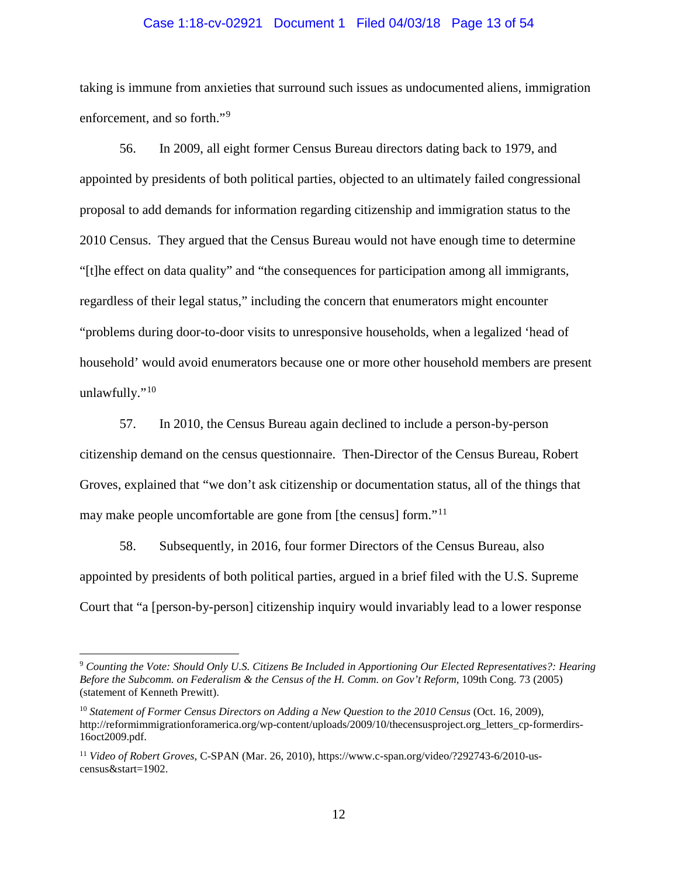### Case 1:18-cv-02921 Document 1 Filed 04/03/18 Page 13 of 54

taking is immune from anxieties that surround such issues as undocumented aliens, immigration enforcement, and so forth."<sup>[9](#page-12-0)</sup>

56. In 2009, all eight former Census Bureau directors dating back to 1979, and appointed by presidents of both political parties, objected to an ultimately failed congressional proposal to add demands for information regarding citizenship and immigration status to the 2010 Census. They argued that the Census Bureau would not have enough time to determine "[t]he effect on data quality" and "the consequences for participation among all immigrants, regardless of their legal status," including the concern that enumerators might encounter "problems during door-to-door visits to unresponsive households, when a legalized 'head of household' would avoid enumerators because one or more other household members are present unlawfully."<sup>[10](#page-12-1)</sup>

57. In 2010, the Census Bureau again declined to include a person-by-person citizenship demand on the census questionnaire. Then-Director of the Census Bureau, Robert Groves, explained that "we don't ask citizenship or documentation status, all of the things that may make people uncomfortable are gone from [the census] form."<sup>[11](#page-12-2)</sup>

58. Subsequently, in 2016, four former Directors of the Census Bureau, also appointed by presidents of both political parties, argued in a brief filed with the U.S. Supreme Court that "a [person-by-person] citizenship inquiry would invariably lead to a lower response

<span id="page-12-0"></span> <sup>9</sup> *Counting the Vote: Should Only U.S. Citizens Be Included in Apportioning Our Elected Representatives?: Hearing Before the Subcomm. on Federalism & the Census of the H. Comm. on Gov't Reform*, 109th Cong. 73 (2005) (statement of Kenneth Prewitt).

<span id="page-12-1"></span><sup>&</sup>lt;sup>10</sup> Statement of Former Census Directors on Adding a New Question to the 2010 Census (Oct. 16, 2009), http://reformimmigrationforamerica.org/wp-content/uploads/2009/10/thecensusproject.org\_letters\_cp-formerdirs-16oct2009.pdf.

<span id="page-12-2"></span><sup>11</sup> *Video of Robert Groves*, C-SPAN (Mar. 26, 2010), https://www.c-span.org/video/?292743-6/2010-uscensus&start=1902.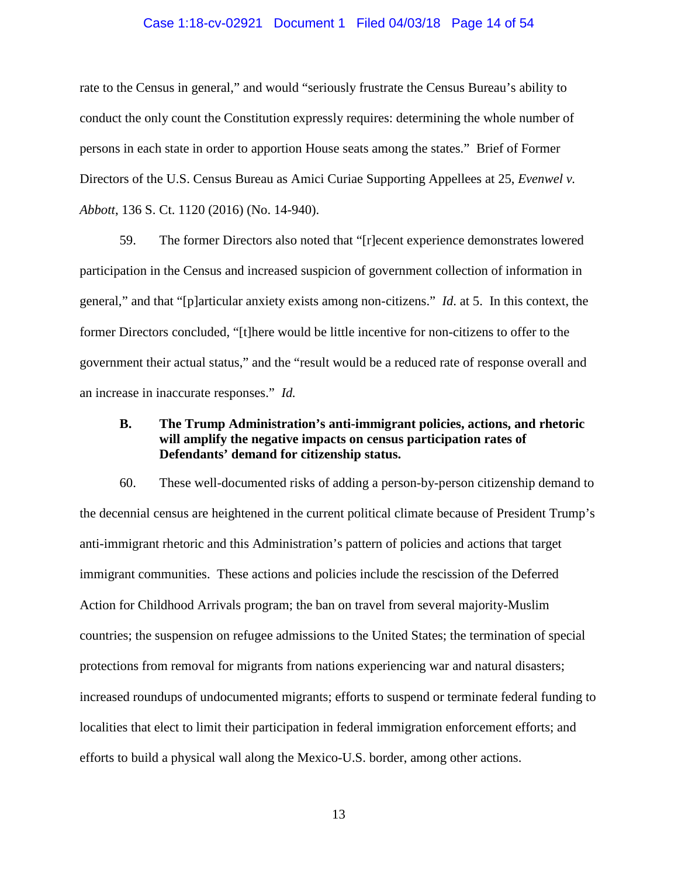#### Case 1:18-cv-02921 Document 1 Filed 04/03/18 Page 14 of 54

rate to the Census in general," and would "seriously frustrate the Census Bureau's ability to conduct the only count the Constitution expressly requires: determining the whole number of persons in each state in order to apportion House seats among the states." Brief of Former Directors of the U.S. Census Bureau as Amici Curiae Supporting Appellees at 25, *Evenwel v. Abbott*, 136 S. Ct. 1120 (2016) (No. 14-940).

59. The former Directors also noted that "[r]ecent experience demonstrates lowered participation in the Census and increased suspicion of government collection of information in general," and that "[p]articular anxiety exists among non-citizens." *Id*. at 5. In this context, the former Directors concluded, "[t]here would be little incentive for non-citizens to offer to the government their actual status," and the "result would be a reduced rate of response overall and an increase in inaccurate responses." *Id.*

## **B. The Trump Administration's anti-immigrant policies, actions, and rhetoric will amplify the negative impacts on census participation rates of Defendants' demand for citizenship status.**

60. These well-documented risks of adding a person-by-person citizenship demand to the decennial census are heightened in the current political climate because of President Trump's anti-immigrant rhetoric and this Administration's pattern of policies and actions that target immigrant communities. These actions and policies include the rescission of the Deferred Action for Childhood Arrivals program; the ban on travel from several majority-Muslim countries; the suspension on refugee admissions to the United States; the termination of special protections from removal for migrants from nations experiencing war and natural disasters; increased roundups of undocumented migrants; efforts to suspend or terminate federal funding to localities that elect to limit their participation in federal immigration enforcement efforts; and efforts to build a physical wall along the Mexico-U.S. border, among other actions.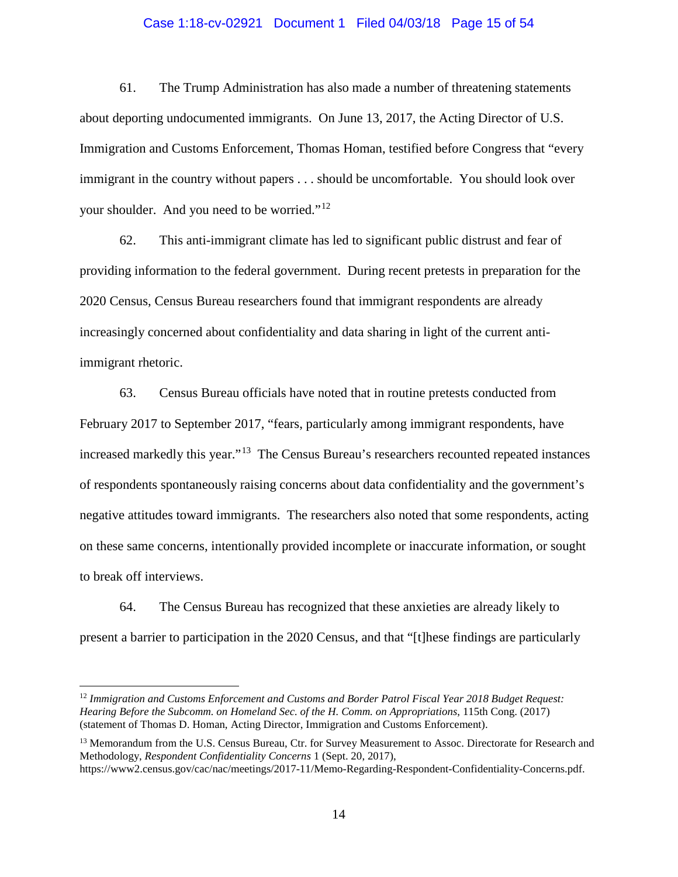## Case 1:18-cv-02921 Document 1 Filed 04/03/18 Page 15 of 54

61. The Trump Administration has also made a number of threatening statements about deporting undocumented immigrants. On June 13, 2017, the Acting Director of U.S. Immigration and Customs Enforcement, Thomas Homan, testified before Congress that "every immigrant in the country without papers . . . should be uncomfortable. You should look over your shoulder. And you need to be worried."<sup>[12](#page-14-0)</sup>

62. This anti-immigrant climate has led to significant public distrust and fear of providing information to the federal government. During recent pretests in preparation for the 2020 Census, Census Bureau researchers found that immigrant respondents are already increasingly concerned about confidentiality and data sharing in light of the current antiimmigrant rhetoric.

63. Census Bureau officials have noted that in routine pretests conducted from February 2017 to September 2017, "fears, particularly among immigrant respondents, have increased markedly this year."[13](#page-14-1) The Census Bureau's researchers recounted repeated instances of respondents spontaneously raising concerns about data confidentiality and the government's negative attitudes toward immigrants. The researchers also noted that some respondents, acting on these same concerns, intentionally provided incomplete or inaccurate information, or sought to break off interviews.

64. The Census Bureau has recognized that these anxieties are already likely to present a barrier to participation in the 2020 Census, and that "[t]hese findings are particularly

<span id="page-14-0"></span> 12 *Immigration and Customs Enforcement and Customs and Border Patrol Fiscal Year 2018 Budget Request: Hearing Before the Subcomm. on Homeland Sec. of the H. Comm. on Appropriations*, 115th Cong. (2017) (statement of Thomas D. Homan, Acting Director, Immigration and Customs Enforcement).

<span id="page-14-1"></span><sup>13</sup> Memorandum from the U.S. Census Bureau, Ctr. for Survey Measurement to Assoc. Directorate for Research and Methodology, *Respondent Confidentiality Concerns* 1 (Sept. 20, 2017), https://www2.census.gov/cac/nac/meetings/2017-11/Memo-Regarding-Respondent-Confidentiality-Concerns.pdf.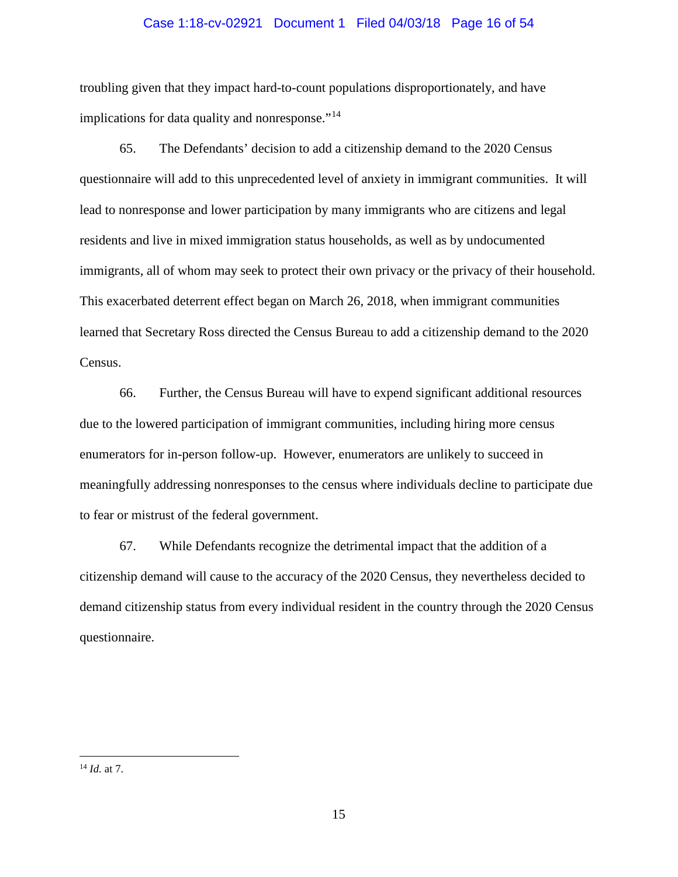## Case 1:18-cv-02921 Document 1 Filed 04/03/18 Page 16 of 54

troubling given that they impact hard-to-count populations disproportionately, and have implications for data quality and nonresponse."<sup>[14](#page-15-0)</sup>

65. The Defendants' decision to add a citizenship demand to the 2020 Census questionnaire will add to this unprecedented level of anxiety in immigrant communities. It will lead to nonresponse and lower participation by many immigrants who are citizens and legal residents and live in mixed immigration status households, as well as by undocumented immigrants, all of whom may seek to protect their own privacy or the privacy of their household. This exacerbated deterrent effect began on March 26, 2018, when immigrant communities learned that Secretary Ross directed the Census Bureau to add a citizenship demand to the 2020 Census.

66. Further, the Census Bureau will have to expend significant additional resources due to the lowered participation of immigrant communities, including hiring more census enumerators for in-person follow-up. However, enumerators are unlikely to succeed in meaningfully addressing nonresponses to the census where individuals decline to participate due to fear or mistrust of the federal government.

67. While Defendants recognize the detrimental impact that the addition of a citizenship demand will cause to the accuracy of the 2020 Census, they nevertheless decided to demand citizenship status from every individual resident in the country through the 2020 Census questionnaire.

<span id="page-15-0"></span> <sup>14</sup> *Id.* at 7.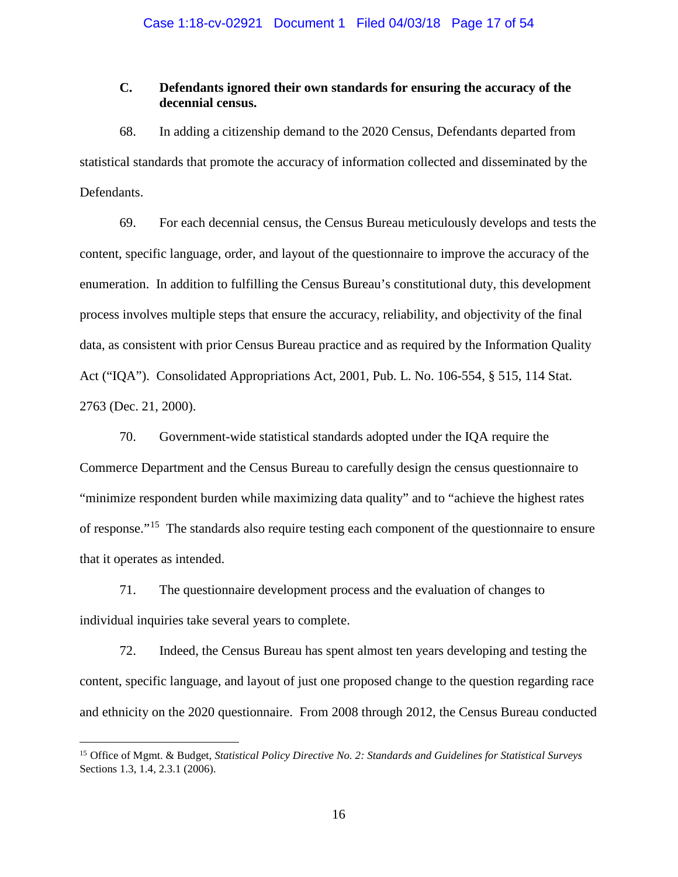# **C. Defendants ignored their own standards for ensuring the accuracy of the decennial census.**

68. In adding a citizenship demand to the 2020 Census, Defendants departed from statistical standards that promote the accuracy of information collected and disseminated by the Defendants.

69. For each decennial census, the Census Bureau meticulously develops and tests the content, specific language, order, and layout of the questionnaire to improve the accuracy of the enumeration. In addition to fulfilling the Census Bureau's constitutional duty, this development process involves multiple steps that ensure the accuracy, reliability, and objectivity of the final data, as consistent with prior Census Bureau practice and as required by the Information Quality Act ("IQA"). Consolidated Appropriations Act, 2001, Pub. L. No. 106-554, § 515, 114 Stat. 2763 (Dec. 21, 2000).

70. Government-wide statistical standards adopted under the IQA require the Commerce Department and the Census Bureau to carefully design the census questionnaire to "minimize respondent burden while maximizing data quality" and to "achieve the highest rates of response."[15](#page-16-0) The standards also require testing each component of the questionnaire to ensure that it operates as intended.

71. The questionnaire development process and the evaluation of changes to individual inquiries take several years to complete.

72. Indeed, the Census Bureau has spent almost ten years developing and testing the content, specific language, and layout of just one proposed change to the question regarding race and ethnicity on the 2020 questionnaire. From 2008 through 2012, the Census Bureau conducted

<span id="page-16-0"></span> <sup>15</sup> Office of Mgmt. & Budget, *Statistical Policy Directive No. 2: Standards and Guidelines for Statistical Surveys* Sections 1.3, 1.4, 2.3.1 (2006).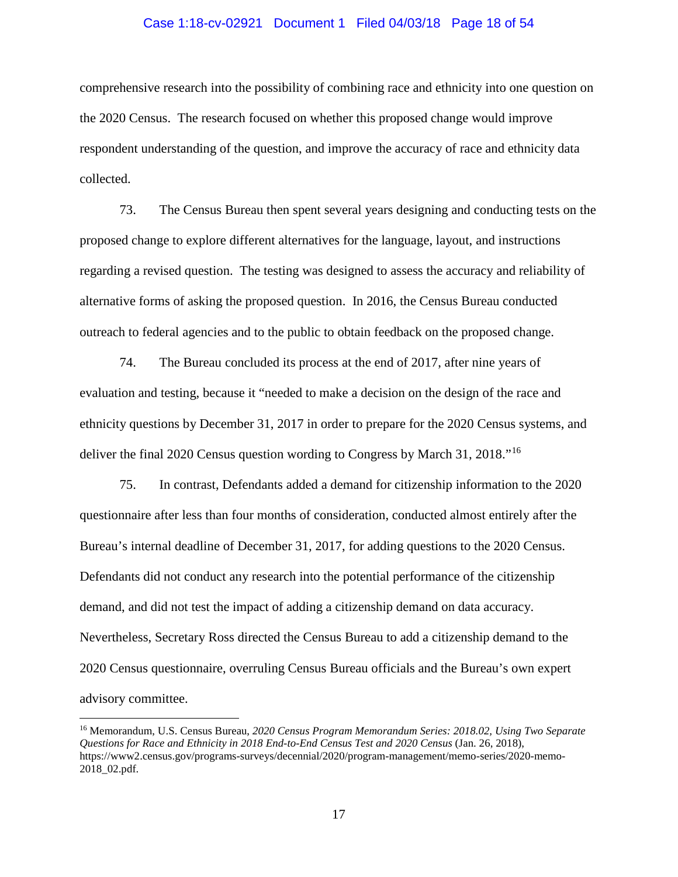#### Case 1:18-cv-02921 Document 1 Filed 04/03/18 Page 18 of 54

comprehensive research into the possibility of combining race and ethnicity into one question on the 2020 Census. The research focused on whether this proposed change would improve respondent understanding of the question, and improve the accuracy of race and ethnicity data collected.

73. The Census Bureau then spent several years designing and conducting tests on the proposed change to explore different alternatives for the language, layout, and instructions regarding a revised question. The testing was designed to assess the accuracy and reliability of alternative forms of asking the proposed question. In 2016, the Census Bureau conducted outreach to federal agencies and to the public to obtain feedback on the proposed change.

74. The Bureau concluded its process at the end of 2017, after nine years of evaluation and testing, because it "needed to make a decision on the design of the race and ethnicity questions by December 31, 2017 in order to prepare for the 2020 Census systems, and deliver the final 2020 Census question wording to Congress by March 31, 2018."[16](#page-17-0) 

75. In contrast, Defendants added a demand for citizenship information to the 2020 questionnaire after less than four months of consideration, conducted almost entirely after the Bureau's internal deadline of December 31, 2017, for adding questions to the 2020 Census. Defendants did not conduct any research into the potential performance of the citizenship demand, and did not test the impact of adding a citizenship demand on data accuracy. Nevertheless, Secretary Ross directed the Census Bureau to add a citizenship demand to the 2020 Census questionnaire, overruling Census Bureau officials and the Bureau's own expert advisory committee.

<span id="page-17-0"></span> <sup>16</sup> Memorandum, U.S. Census Bureau, *2020 Census Program Memorandum Series: 2018.02, Using Two Separate Questions for Race and Ethnicity in 2018 End-to-End Census Test and 2020 Census* (Jan. 26, 2018), https://www2.census.gov/programs-surveys/decennial/2020/program-management/memo-series/2020-memo-2018\_02.pdf.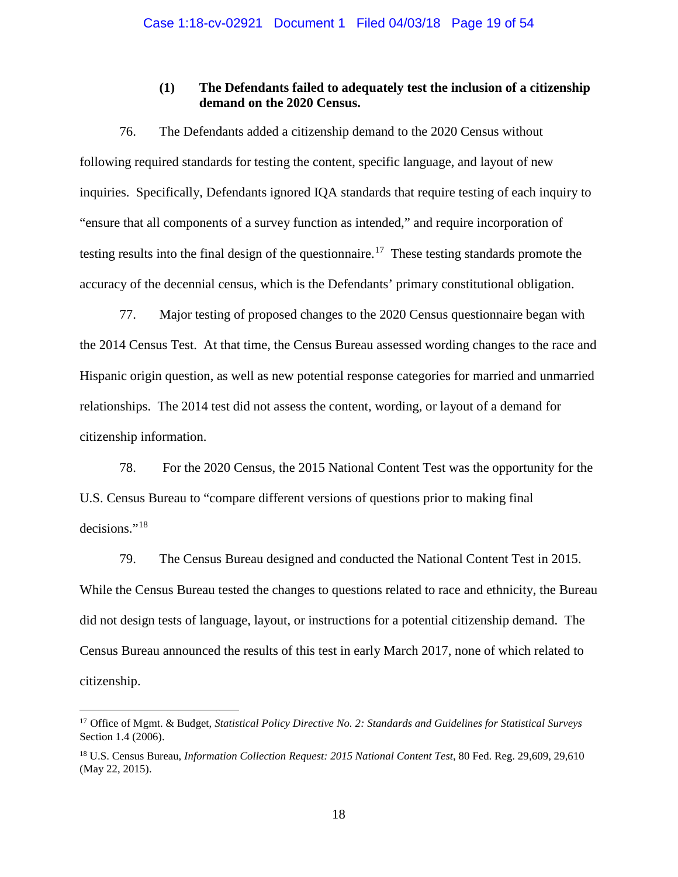## **(1) The Defendants failed to adequately test the inclusion of a citizenship demand on the 2020 Census.**

76. The Defendants added a citizenship demand to the 2020 Census without following required standards for testing the content, specific language, and layout of new inquiries. Specifically, Defendants ignored IQA standards that require testing of each inquiry to "ensure that all components of a survey function as intended," and require incorporation of testing results into the final design of the questionnaire.<sup>[17](#page-18-0)</sup> These testing standards promote the accuracy of the decennial census, which is the Defendants' primary constitutional obligation.

77. Major testing of proposed changes to the 2020 Census questionnaire began with the 2014 Census Test. At that time, the Census Bureau assessed wording changes to the race and Hispanic origin question, as well as new potential response categories for married and unmarried relationships. The 2014 test did not assess the content, wording, or layout of a demand for citizenship information.

78. For the 2020 Census, the 2015 National Content Test was the opportunity for the U.S. Census Bureau to "compare different versions of questions prior to making final decisions."<sup>[18](#page-18-1)</sup>

79. The Census Bureau designed and conducted the National Content Test in 2015. While the Census Bureau tested the changes to questions related to race and ethnicity, the Bureau did not design tests of language, layout, or instructions for a potential citizenship demand. The Census Bureau announced the results of this test in early March 2017, none of which related to citizenship.

<span id="page-18-0"></span> <sup>17</sup> Office of Mgmt. & Budget, *Statistical Policy Directive No. 2: Standards and Guidelines for Statistical Surveys* Section 1.4 (2006).

<span id="page-18-1"></span><sup>18</sup> U.S. Census Bureau, *Information Collection Request: 2015 National Content Test*, 80 Fed. Reg. 29,609, 29,610 (May 22, 2015).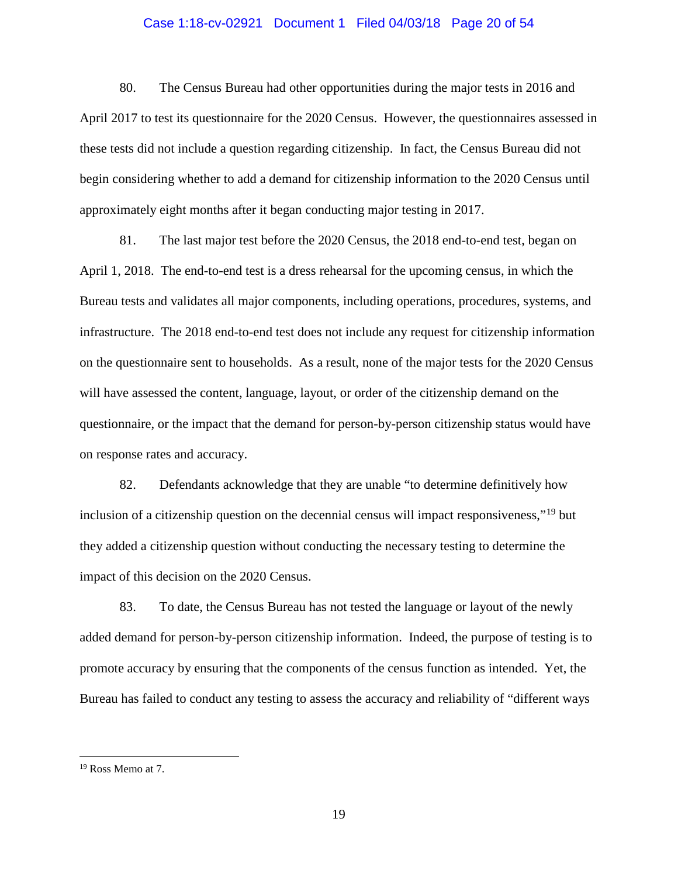## Case 1:18-cv-02921 Document 1 Filed 04/03/18 Page 20 of 54

80. The Census Bureau had other opportunities during the major tests in 2016 and April 2017 to test its questionnaire for the 2020 Census. However, the questionnaires assessed in these tests did not include a question regarding citizenship. In fact, the Census Bureau did not begin considering whether to add a demand for citizenship information to the 2020 Census until approximately eight months after it began conducting major testing in 2017.

81. The last major test before the 2020 Census, the 2018 end-to-end test, began on April 1, 2018. The end-to-end test is a dress rehearsal for the upcoming census, in which the Bureau tests and validates all major components, including operations, procedures, systems, and infrastructure. The 2018 end-to-end test does not include any request for citizenship information on the questionnaire sent to households. As a result, none of the major tests for the 2020 Census will have assessed the content, language, layout, or order of the citizenship demand on the questionnaire, or the impact that the demand for person-by-person citizenship status would have on response rates and accuracy.

82. Defendants acknowledge that they are unable "to determine definitively how inclusion of a citizenship question on the decennial census will impact responsiveness,"<sup>[19](#page-19-0)</sup> but they added a citizenship question without conducting the necessary testing to determine the impact of this decision on the 2020 Census.

83. To date, the Census Bureau has not tested the language or layout of the newly added demand for person-by-person citizenship information. Indeed, the purpose of testing is to promote accuracy by ensuring that the components of the census function as intended. Yet, the Bureau has failed to conduct any testing to assess the accuracy and reliability of "different ways

<span id="page-19-0"></span> <sup>19</sup> Ross Memo at 7.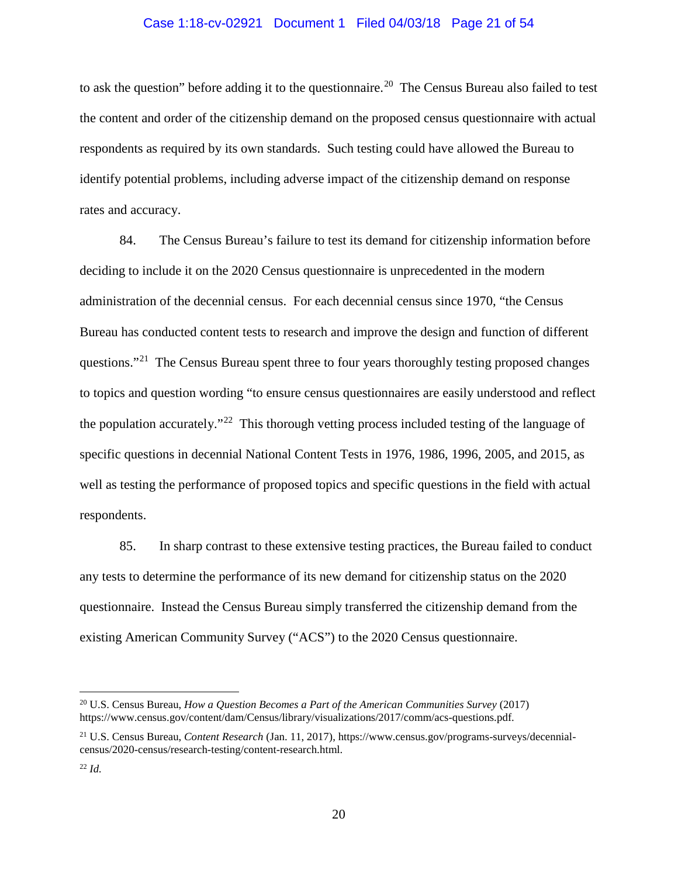### Case 1:18-cv-02921 Document 1 Filed 04/03/18 Page 21 of 54

to ask the question" before adding it to the questionnaire.<sup>[20](#page-20-0)</sup> The Census Bureau also failed to test the content and order of the citizenship demand on the proposed census questionnaire with actual respondents as required by its own standards. Such testing could have allowed the Bureau to identify potential problems, including adverse impact of the citizenship demand on response rates and accuracy.

84. The Census Bureau's failure to test its demand for citizenship information before deciding to include it on the 2020 Census questionnaire is unprecedented in the modern administration of the decennial census. For each decennial census since 1970, "the Census Bureau has conducted content tests to research and improve the design and function of different questions."<sup>[21](#page-20-1)</sup> The Census Bureau spent three to four years thoroughly testing proposed changes to topics and question wording "to ensure census questionnaires are easily understood and reflect the population accurately."<sup>[22](#page-20-2)</sup> This thorough vetting process included testing of the language of specific questions in decennial National Content Tests in 1976, 1986, 1996, 2005, and 2015, as well as testing the performance of proposed topics and specific questions in the field with actual respondents.

85. In sharp contrast to these extensive testing practices, the Bureau failed to conduct any tests to determine the performance of its new demand for citizenship status on the 2020 questionnaire. Instead the Census Bureau simply transferred the citizenship demand from the existing American Community Survey ("ACS") to the 2020 Census questionnaire.

<span id="page-20-0"></span> <sup>20</sup> U.S. Census Bureau, *How a Question Becomes a Part of the American Communities Survey* (2017) https://www.census.gov/content/dam/Census/library/visualizations/2017/comm/acs-questions.pdf.

<span id="page-20-1"></span><sup>21</sup> U.S. Census Bureau, *Content Research* (Jan. 11, 2017), https://www.census.gov/programs-surveys/decennialcensus/2020-census/research-testing/content-research.html.

<span id="page-20-2"></span> $^{22}$  *Id.*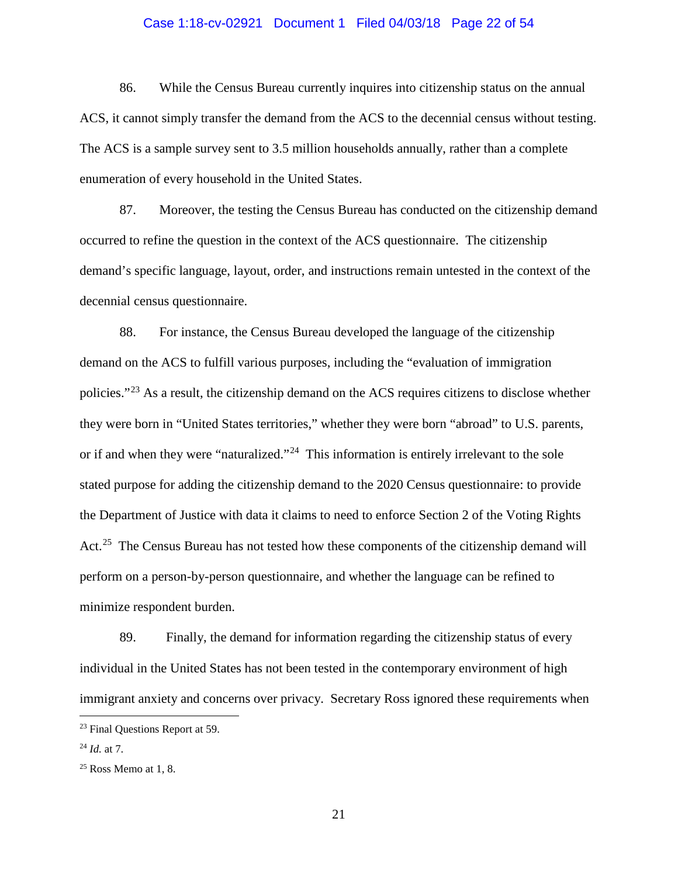## Case 1:18-cv-02921 Document 1 Filed 04/03/18 Page 22 of 54

86. While the Census Bureau currently inquires into citizenship status on the annual ACS, it cannot simply transfer the demand from the ACS to the decennial census without testing. The ACS is a sample survey sent to 3.5 million households annually, rather than a complete enumeration of every household in the United States.

87. Moreover, the testing the Census Bureau has conducted on the citizenship demand occurred to refine the question in the context of the ACS questionnaire. The citizenship demand's specific language, layout, order, and instructions remain untested in the context of the decennial census questionnaire.

88. For instance, the Census Bureau developed the language of the citizenship demand on the ACS to fulfill various purposes, including the "evaluation of immigration policies."[23](#page-21-0) As a result, the citizenship demand on the ACS requires citizens to disclose whether they were born in "United States territories," whether they were born "abroad" to U.S. parents, or if and when they were "naturalized."<sup>[24](#page-21-1)</sup> This information is entirely irrelevant to the sole stated purpose for adding the citizenship demand to the 2020 Census questionnaire: to provide the Department of Justice with data it claims to need to enforce Section 2 of the Voting Rights Act.<sup>[25](#page-21-2)</sup> The Census Bureau has not tested how these components of the citizenship demand will perform on a person-by-person questionnaire, and whether the language can be refined to minimize respondent burden.

89. Finally, the demand for information regarding the citizenship status of every individual in the United States has not been tested in the contemporary environment of high immigrant anxiety and concerns over privacy. Secretary Ross ignored these requirements when

<span id="page-21-0"></span> <sup>23</sup> Final Questions Report at 59.

<span id="page-21-1"></span><sup>24</sup> *Id.* at 7.

<span id="page-21-2"></span> $25$  Ross Memo at 1, 8.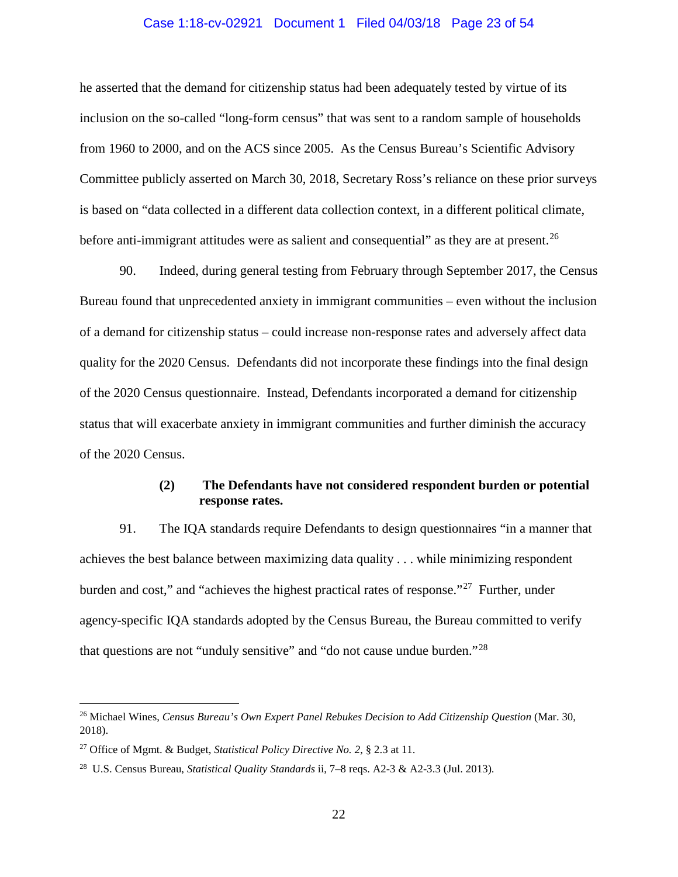### Case 1:18-cv-02921 Document 1 Filed 04/03/18 Page 23 of 54

he asserted that the demand for citizenship status had been adequately tested by virtue of its inclusion on the so-called "long-form census" that was sent to a random sample of households from 1960 to 2000, and on the ACS since 2005. As the Census Bureau's Scientific Advisory Committee publicly asserted on March 30, 2018, Secretary Ross's reliance on these prior surveys is based on "data collected in a different data collection context, in a different political climate, before anti-immigrant attitudes were as salient and consequential" as they are at present.<sup>[26](#page-22-0)</sup>

90. Indeed, during general testing from February through September 2017, the Census Bureau found that unprecedented anxiety in immigrant communities – even without the inclusion of a demand for citizenship status – could increase non-response rates and adversely affect data quality for the 2020 Census. Defendants did not incorporate these findings into the final design of the 2020 Census questionnaire. Instead, Defendants incorporated a demand for citizenship status that will exacerbate anxiety in immigrant communities and further diminish the accuracy of the 2020 Census.

# **(2) The Defendants have not considered respondent burden or potential response rates.**

91. The IQA standards require Defendants to design questionnaires "in a manner that achieves the best balance between maximizing data quality . . . while minimizing respondent burden and cost," and "achieves the highest practical rates of response."[27](#page-22-1) Further, under agency-specific IQA standards adopted by the Census Bureau, the Bureau committed to verify that questions are not "unduly sensitive" and "do not cause undue burden."[28](#page-22-2)

<span id="page-22-0"></span><sup>&</sup>lt;sup>26</sup> Michael Wines, *Census Bureau's Own Expert Panel Rebukes Decision to Add Citizenship Question* (Mar. 30, 2018).

<span id="page-22-1"></span><sup>27</sup> Office of Mgmt. & Budget, *Statistical Policy Directive No. 2*, § 2.3 at 11.

<span id="page-22-2"></span><sup>28</sup> U.S. Census Bureau, *Statistical Quality Standards* ii, 7–8 reqs. A2-3 & A2-3.3 (Jul. 2013).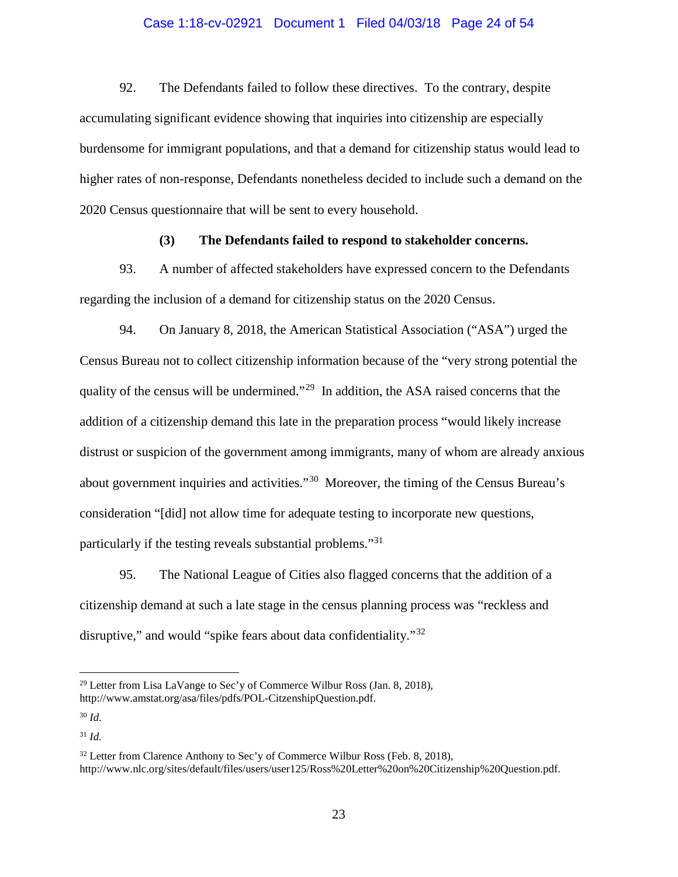## Case 1:18-cv-02921 Document 1 Filed 04/03/18 Page 24 of 54

92. The Defendants failed to follow these directives. To the contrary, despite accumulating significant evidence showing that inquiries into citizenship are especially burdensome for immigrant populations, and that a demand for citizenship status would lead to higher rates of non-response, Defendants nonetheless decided to include such a demand on the 2020 Census questionnaire that will be sent to every household.

## **(3) The Defendants failed to respond to stakeholder concerns.**

93. A number of affected stakeholders have expressed concern to the Defendants regarding the inclusion of a demand for citizenship status on the 2020 Census.

94. On January 8, 2018, the American Statistical Association ("ASA") urged the Census Bureau not to collect citizenship information because of the "very strong potential the quality of the census will be undermined."[29](#page-23-0) In addition, the ASA raised concerns that the addition of a citizenship demand this late in the preparation process "would likely increase distrust or suspicion of the government among immigrants, many of whom are already anxious about government inquiries and activities."[30](#page-23-1) Moreover, the timing of the Census Bureau's consideration "[did] not allow time for adequate testing to incorporate new questions, particularly if the testing reveals substantial problems."[31](#page-23-2)

95. The National League of Cities also flagged concerns that the addition of a citizenship demand at such a late stage in the census planning process was "reckless and disruptive," and would "spike fears about data confidentiality."<sup>[32](#page-23-3)</sup>

<span id="page-23-0"></span><sup>&</sup>lt;sup>29</sup> Letter from Lisa LaVange to Sec'y of Commerce Wilbur Ross (Jan. 8, 2018), http://www.amstat.org/asa/files/pdfs/POL-CitzenshipQuestion.pdf.

<span id="page-23-1"></span><sup>30</sup> *Id.*

<span id="page-23-2"></span><sup>31</sup> *Id.*

<span id="page-23-3"></span> $32$  Letter from Clarence Anthony to Sec'y of Commerce Wilbur Ross (Feb. 8, 2018), http://www.nlc.org/sites/default/files/users/user125/Ross%20Letter%20on%20Citizenship%20Question.pdf.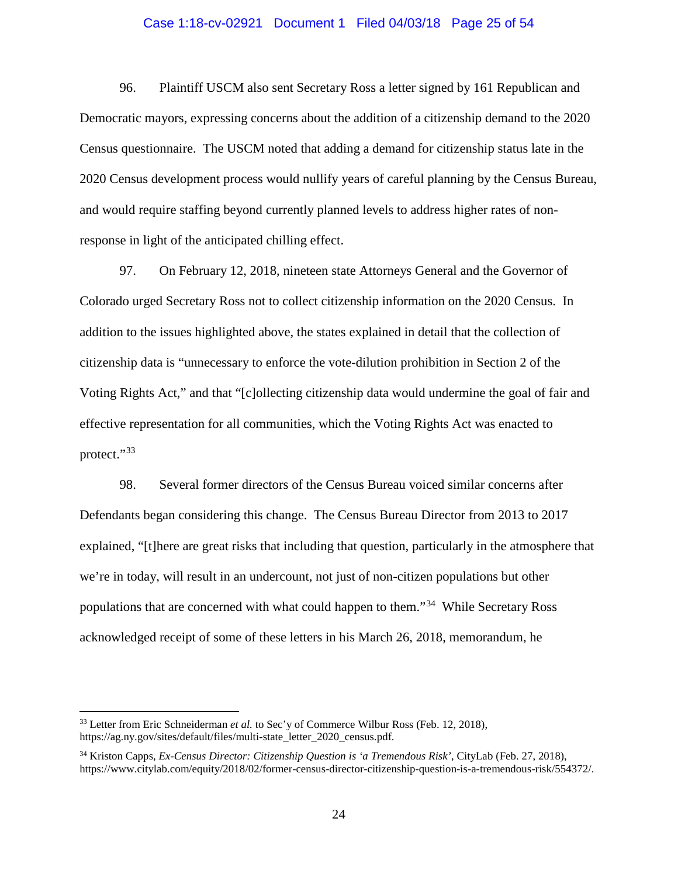### Case 1:18-cv-02921 Document 1 Filed 04/03/18 Page 25 of 54

96. Plaintiff USCM also sent Secretary Ross a letter signed by 161 Republican and Democratic mayors, expressing concerns about the addition of a citizenship demand to the 2020 Census questionnaire. The USCM noted that adding a demand for citizenship status late in the 2020 Census development process would nullify years of careful planning by the Census Bureau, and would require staffing beyond currently planned levels to address higher rates of nonresponse in light of the anticipated chilling effect.

97. On February 12, 2018, nineteen state Attorneys General and the Governor of Colorado urged Secretary Ross not to collect citizenship information on the 2020 Census. In addition to the issues highlighted above, the states explained in detail that the collection of citizenship data is "unnecessary to enforce the vote-dilution prohibition in Section 2 of the Voting Rights Act," and that "[c]ollecting citizenship data would undermine the goal of fair and effective representation for all communities, which the Voting Rights Act was enacted to protect."[33](#page-24-0)

98. Several former directors of the Census Bureau voiced similar concerns after Defendants began considering this change. The Census Bureau Director from 2013 to 2017 explained, "[t]here are great risks that including that question, particularly in the atmosphere that we're in today, will result in an undercount, not just of non-citizen populations but other populations that are concerned with what could happen to them."[34](#page-24-1) While Secretary Ross acknowledged receipt of some of these letters in his March 26, 2018, memorandum, he

<span id="page-24-0"></span><sup>&</sup>lt;sup>33</sup> Letter from Eric Schneiderman *et al.* to Sec'y of Commerce Wilbur Ross (Feb. 12, 2018), https://ag.ny.gov/sites/default/files/multi-state\_letter\_2020\_census.pdf.

<span id="page-24-1"></span><sup>34</sup> Kriston Capps, *Ex-Census Director: Citizenship Question is 'a Tremendous Risk'*, CityLab (Feb. 27, 2018), https://www.citylab.com/equity/2018/02/former-census-director-citizenship-question-is-a-tremendous-risk/554372/.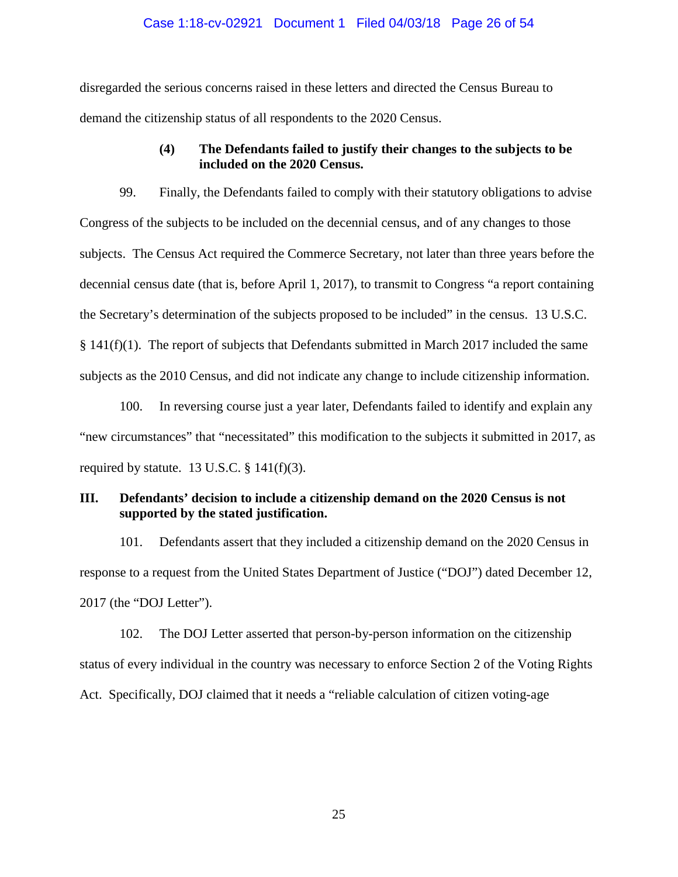## Case 1:18-cv-02921 Document 1 Filed 04/03/18 Page 26 of 54

disregarded the serious concerns raised in these letters and directed the Census Bureau to demand the citizenship status of all respondents to the 2020 Census.

## **(4) The Defendants failed to justify their changes to the subjects to be included on the 2020 Census.**

99. Finally, the Defendants failed to comply with their statutory obligations to advise Congress of the subjects to be included on the decennial census, and of any changes to those subjects. The Census Act required the Commerce Secretary, not later than three years before the decennial census date (that is, before April 1, 2017), to transmit to Congress "a report containing the Secretary's determination of the subjects proposed to be included" in the census. 13 U.S.C.  $§$  141(f)(1). The report of subjects that Defendants submitted in March 2017 included the same subjects as the 2010 Census, and did not indicate any change to include citizenship information.

100. In reversing course just a year later, Defendants failed to identify and explain any "new circumstances" that "necessitated" this modification to the subjects it submitted in 2017, as required by statute. 13 U.S.C.  $\S$  141(f)(3).

# **III. Defendants' decision to include a citizenship demand on the 2020 Census is not supported by the stated justification.**

101. Defendants assert that they included a citizenship demand on the 2020 Census in response to a request from the United States Department of Justice ("DOJ") dated December 12, 2017 (the "DOJ Letter").

102. The DOJ Letter asserted that person-by-person information on the citizenship status of every individual in the country was necessary to enforce Section 2 of the Voting Rights Act. Specifically, DOJ claimed that it needs a "reliable calculation of citizen voting-age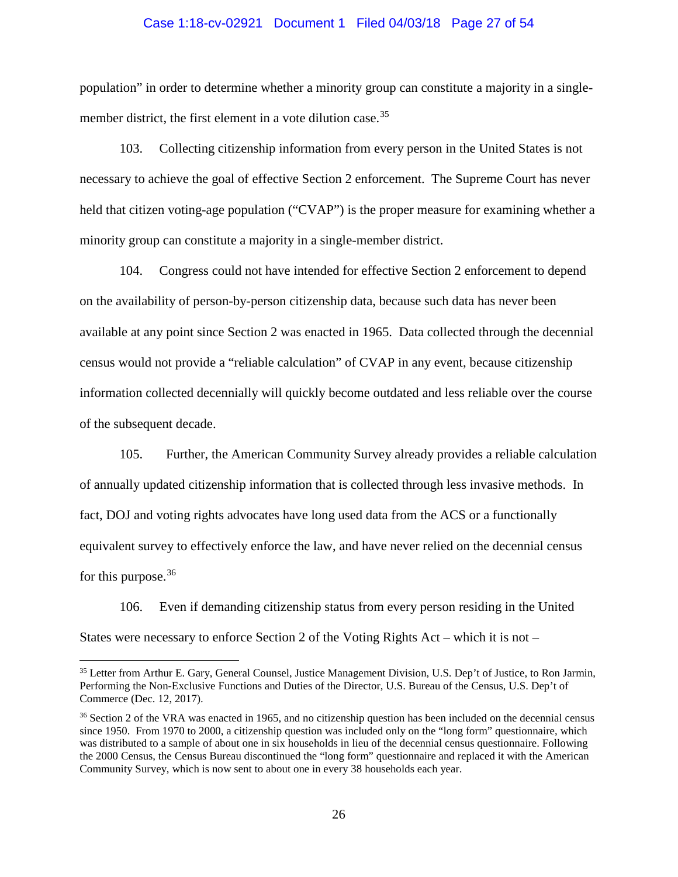#### Case 1:18-cv-02921 Document 1 Filed 04/03/18 Page 27 of 54

population" in order to determine whether a minority group can constitute a majority in a single-member district, the first element in a vote dilution case.<sup>[35](#page-26-0)</sup>

103. Collecting citizenship information from every person in the United States is not necessary to achieve the goal of effective Section 2 enforcement. The Supreme Court has never held that citizen voting-age population ("CVAP") is the proper measure for examining whether a minority group can constitute a majority in a single-member district.

104. Congress could not have intended for effective Section 2 enforcement to depend on the availability of person-by-person citizenship data, because such data has never been available at any point since Section 2 was enacted in 1965. Data collected through the decennial census would not provide a "reliable calculation" of CVAP in any event, because citizenship information collected decennially will quickly become outdated and less reliable over the course of the subsequent decade.

105. Further, the American Community Survey already provides a reliable calculation of annually updated citizenship information that is collected through less invasive methods. In fact, DOJ and voting rights advocates have long used data from the ACS or a functionally equivalent survey to effectively enforce the law, and have never relied on the decennial census for this purpose.<sup>[36](#page-26-1)</sup>

106. Even if demanding citizenship status from every person residing in the United States were necessary to enforce Section 2 of the Voting Rights Act – which it is not –

<span id="page-26-0"></span> <sup>35</sup> Letter from Arthur E. Gary, General Counsel, Justice Management Division, U.S. Dep't of Justice, to Ron Jarmin, Performing the Non-Exclusive Functions and Duties of the Director, U.S. Bureau of the Census, U.S. Dep't of Commerce (Dec. 12, 2017).

<span id="page-26-1"></span><sup>&</sup>lt;sup>36</sup> Section 2 of the VRA was enacted in 1965, and no citizenship question has been included on the decennial census since 1950. From 1970 to 2000, a citizenship question was included only on the "long form" questionnaire, which was distributed to a sample of about one in six households in lieu of the decennial census questionnaire. Following the 2000 Census, the Census Bureau discontinued the "long form" questionnaire and replaced it with the American Community Survey, which is now sent to about one in every 38 households each year.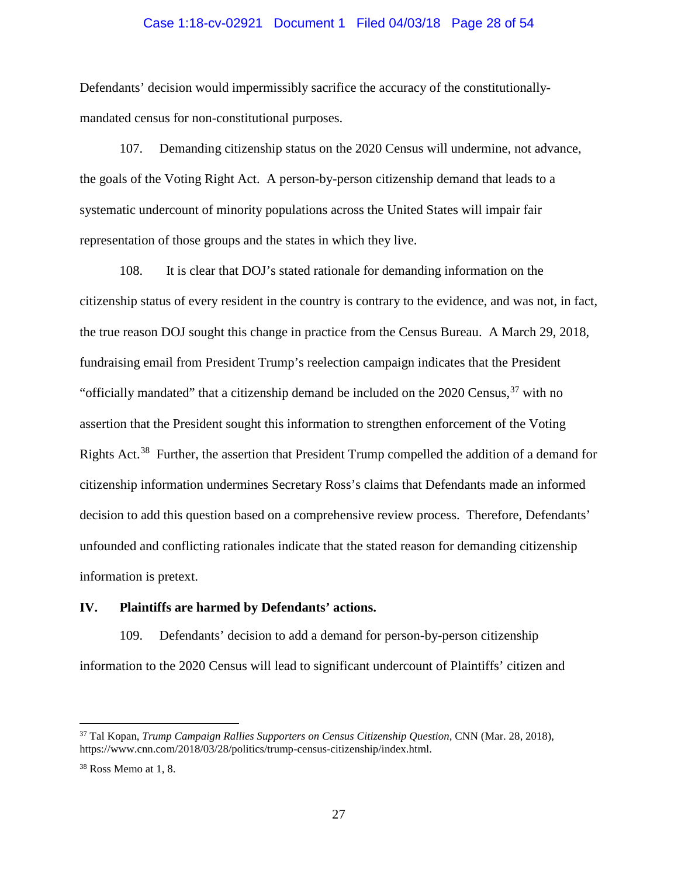#### Case 1:18-cv-02921 Document 1 Filed 04/03/18 Page 28 of 54

Defendants' decision would impermissibly sacrifice the accuracy of the constitutionallymandated census for non-constitutional purposes.

107. Demanding citizenship status on the 2020 Census will undermine, not advance, the goals of the Voting Right Act. A person-by-person citizenship demand that leads to a systematic undercount of minority populations across the United States will impair fair representation of those groups and the states in which they live.

108. It is clear that DOJ's stated rationale for demanding information on the citizenship status of every resident in the country is contrary to the evidence, and was not, in fact, the true reason DOJ sought this change in practice from the Census Bureau. A March 29, 2018, fundraising email from President Trump's reelection campaign indicates that the President "officially mandated" that a citizenship demand be included on the  $2020$  Census,  $37$  with no assertion that the President sought this information to strengthen enforcement of the Voting Rights Act.<sup>[38](#page-27-1)</sup> Further, the assertion that President Trump compelled the addition of a demand for citizenship information undermines Secretary Ross's claims that Defendants made an informed decision to add this question based on a comprehensive review process. Therefore, Defendants' unfounded and conflicting rationales indicate that the stated reason for demanding citizenship information is pretext.

## **IV. Plaintiffs are harmed by Defendants' actions.**

109. Defendants' decision to add a demand for person-by-person citizenship information to the 2020 Census will lead to significant undercount of Plaintiffs' citizen and

<span id="page-27-0"></span> <sup>37</sup> Tal Kopan, *Trump Campaign Rallies Supporters on Census Citizenship Question*, CNN (Mar. 28, 2018), https://www.cnn.com/2018/03/28/politics/trump-census-citizenship/index.html.

<span id="page-27-1"></span><sup>38</sup> Ross Memo at 1, 8.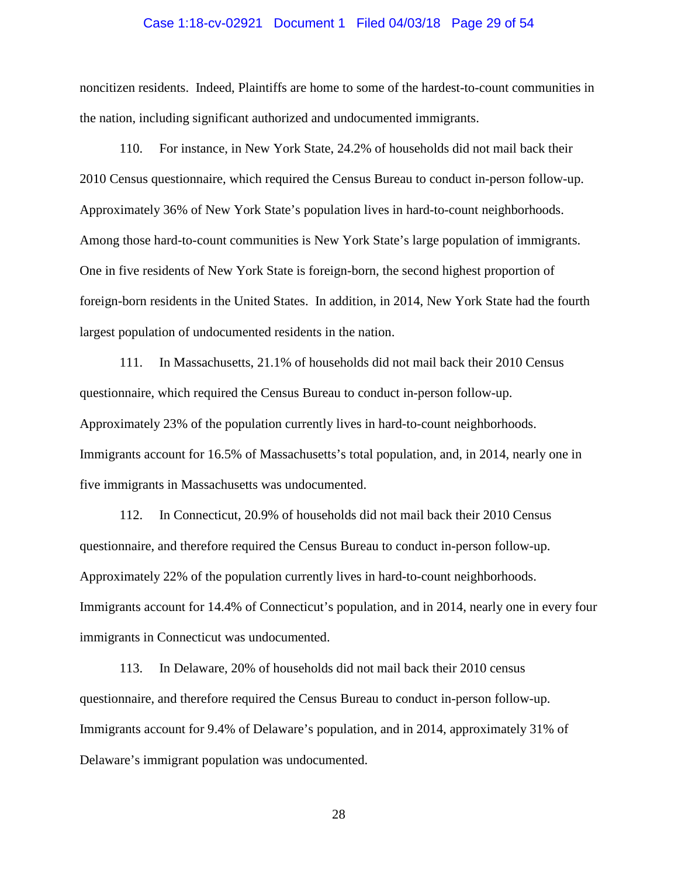## Case 1:18-cv-02921 Document 1 Filed 04/03/18 Page 29 of 54

noncitizen residents. Indeed, Plaintiffs are home to some of the hardest-to-count communities in the nation, including significant authorized and undocumented immigrants.

110. For instance, in New York State, 24.2% of households did not mail back their 2010 Census questionnaire, which required the Census Bureau to conduct in-person follow-up. Approximately 36% of New York State's population lives in hard-to-count neighborhoods. Among those hard-to-count communities is New York State's large population of immigrants. One in five residents of New York State is foreign-born, the second highest proportion of foreign-born residents in the United States. In addition, in 2014, New York State had the fourth largest population of undocumented residents in the nation.

111. In Massachusetts, 21.1% of households did not mail back their 2010 Census questionnaire, which required the Census Bureau to conduct in-person follow-up. Approximately 23% of the population currently lives in hard-to-count neighborhoods. Immigrants account for 16.5% of Massachusetts's total population, and, in 2014, nearly one in five immigrants in Massachusetts was undocumented.

112. In Connecticut, 20.9% of households did not mail back their 2010 Census questionnaire, and therefore required the Census Bureau to conduct in-person follow-up. Approximately 22% of the population currently lives in hard-to-count neighborhoods. Immigrants account for 14.4% of Connecticut's population, and in 2014, nearly one in every four immigrants in Connecticut was undocumented.

113. In Delaware, 20% of households did not mail back their 2010 census questionnaire, and therefore required the Census Bureau to conduct in-person follow-up. Immigrants account for 9.4% of Delaware's population, and in 2014, approximately 31% of Delaware's immigrant population was undocumented.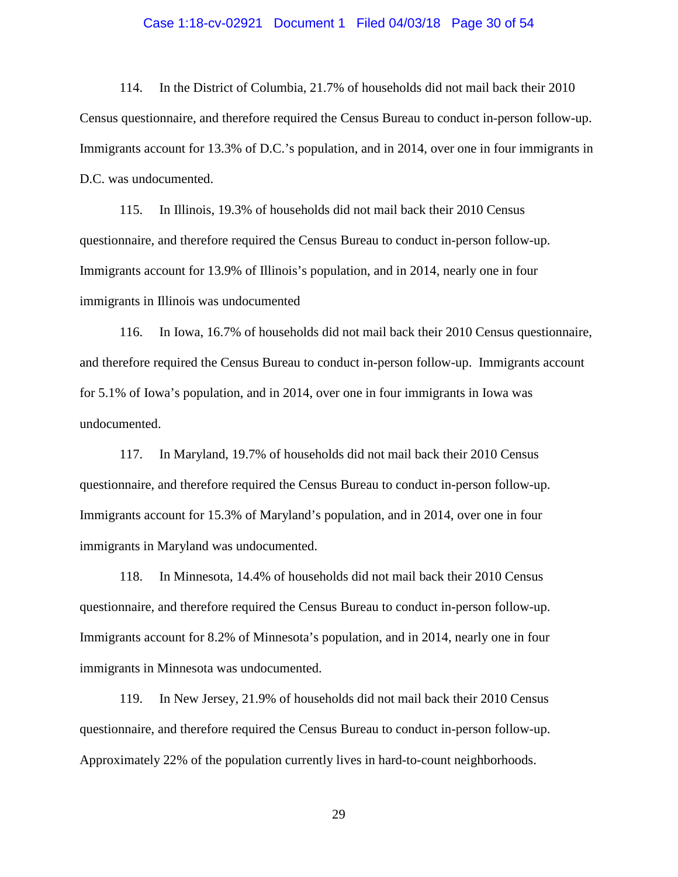## Case 1:18-cv-02921 Document 1 Filed 04/03/18 Page 30 of 54

114. In the District of Columbia, 21.7% of households did not mail back their 2010 Census questionnaire, and therefore required the Census Bureau to conduct in-person follow-up. Immigrants account for 13.3% of D.C.'s population, and in 2014, over one in four immigrants in D.C. was undocumented.

115. In Illinois, 19.3% of households did not mail back their 2010 Census questionnaire, and therefore required the Census Bureau to conduct in-person follow-up. Immigrants account for 13.9% of Illinois's population, and in 2014, nearly one in four immigrants in Illinois was undocumented

116. In Iowa, 16.7% of households did not mail back their 2010 Census questionnaire, and therefore required the Census Bureau to conduct in-person follow-up. Immigrants account for 5.1% of Iowa's population, and in 2014, over one in four immigrants in Iowa was undocumented.

117. In Maryland, 19.7% of households did not mail back their 2010 Census questionnaire, and therefore required the Census Bureau to conduct in-person follow-up. Immigrants account for 15.3% of Maryland's population, and in 2014, over one in four immigrants in Maryland was undocumented.

118. In Minnesota, 14.4% of households did not mail back their 2010 Census questionnaire, and therefore required the Census Bureau to conduct in-person follow-up. Immigrants account for 8.2% of Minnesota's population, and in 2014, nearly one in four immigrants in Minnesota was undocumented.

119. In New Jersey, 21.9% of households did not mail back their 2010 Census questionnaire, and therefore required the Census Bureau to conduct in-person follow-up. Approximately 22% of the population currently lives in hard-to-count neighborhoods.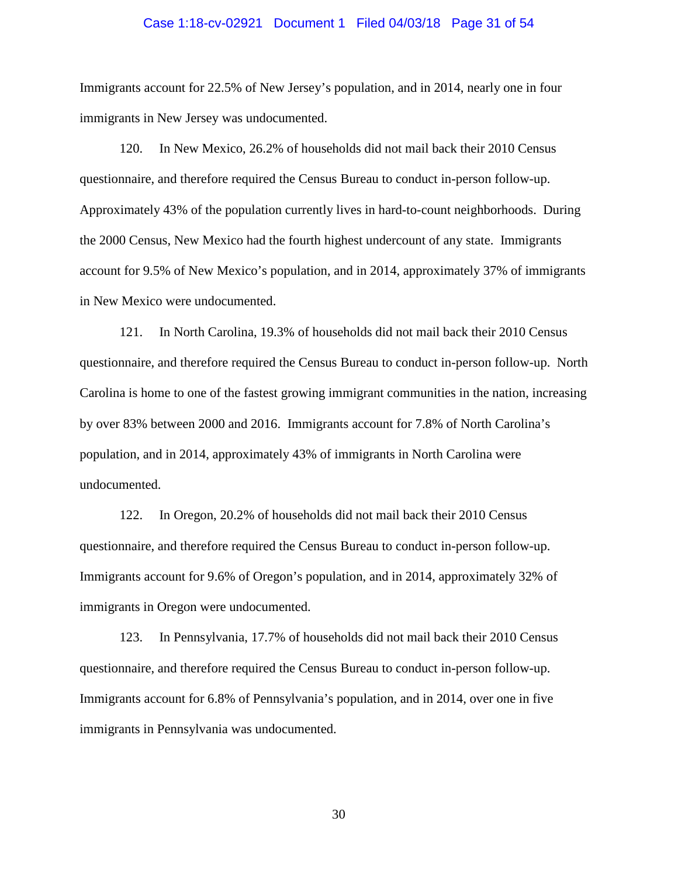## Case 1:18-cv-02921 Document 1 Filed 04/03/18 Page 31 of 54

Immigrants account for 22.5% of New Jersey's population, and in 2014, nearly one in four immigrants in New Jersey was undocumented.

120. In New Mexico, 26.2% of households did not mail back their 2010 Census questionnaire, and therefore required the Census Bureau to conduct in-person follow-up. Approximately 43% of the population currently lives in hard-to-count neighborhoods. During the 2000 Census, New Mexico had the fourth highest undercount of any state. Immigrants account for 9.5% of New Mexico's population, and in 2014, approximately 37% of immigrants in New Mexico were undocumented.

121. In North Carolina, 19.3% of households did not mail back their 2010 Census questionnaire, and therefore required the Census Bureau to conduct in-person follow-up. North Carolina is home to one of the fastest growing immigrant communities in the nation, increasing by over 83% between 2000 and 2016. Immigrants account for 7.8% of North Carolina's population, and in 2014, approximately 43% of immigrants in North Carolina were undocumented.

122. In Oregon, 20.2% of households did not mail back their 2010 Census questionnaire, and therefore required the Census Bureau to conduct in-person follow-up. Immigrants account for 9.6% of Oregon's population, and in 2014, approximately 32% of immigrants in Oregon were undocumented.

123. In Pennsylvania, 17.7% of households did not mail back their 2010 Census questionnaire, and therefore required the Census Bureau to conduct in-person follow-up. Immigrants account for 6.8% of Pennsylvania's population, and in 2014, over one in five immigrants in Pennsylvania was undocumented.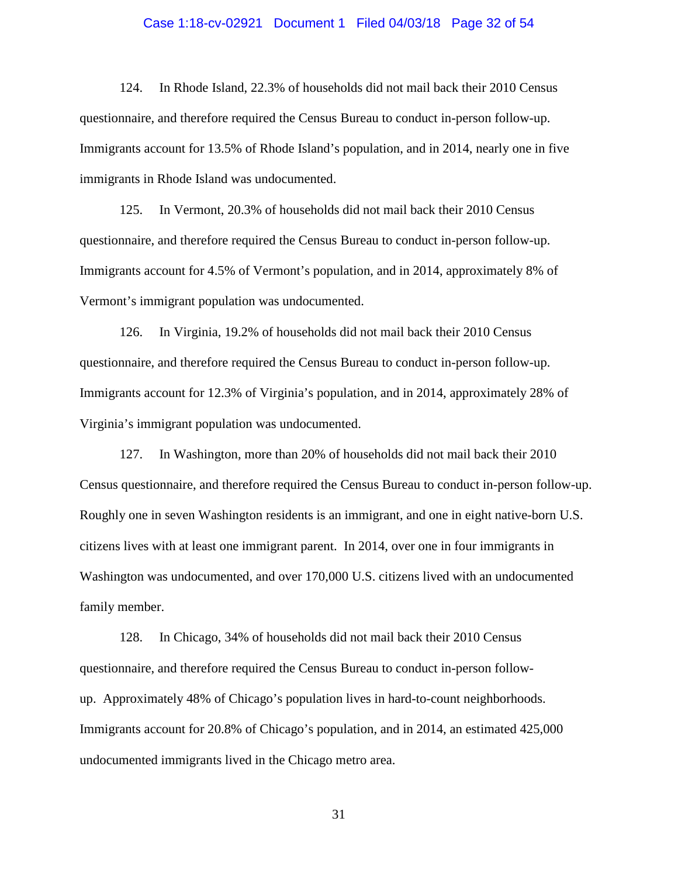## Case 1:18-cv-02921 Document 1 Filed 04/03/18 Page 32 of 54

124. In Rhode Island, 22.3% of households did not mail back their 2010 Census questionnaire, and therefore required the Census Bureau to conduct in-person follow-up. Immigrants account for 13.5% of Rhode Island's population, and in 2014, nearly one in five immigrants in Rhode Island was undocumented.

125. In Vermont, 20.3% of households did not mail back their 2010 Census questionnaire, and therefore required the Census Bureau to conduct in-person follow-up. Immigrants account for 4.5% of Vermont's population, and in 2014, approximately 8% of Vermont's immigrant population was undocumented.

126. In Virginia, 19.2% of households did not mail back their 2010 Census questionnaire, and therefore required the Census Bureau to conduct in-person follow-up. Immigrants account for 12.3% of Virginia's population, and in 2014, approximately 28% of Virginia's immigrant population was undocumented.

127. In Washington, more than 20% of households did not mail back their 2010 Census questionnaire, and therefore required the Census Bureau to conduct in-person follow-up. Roughly one in seven Washington residents is an immigrant, and one in eight native-born U.S. citizens lives with at least one immigrant parent. In 2014, over one in four immigrants in Washington was undocumented, and over 170,000 U.S. citizens lived with an undocumented family member.

128. In Chicago, 34% of households did not mail back their 2010 Census questionnaire, and therefore required the Census Bureau to conduct in-person followup. Approximately 48% of Chicago's population lives in hard-to-count neighborhoods. Immigrants account for 20.8% of Chicago's population, and in 2014, an estimated 425,000 undocumented immigrants lived in the Chicago metro area.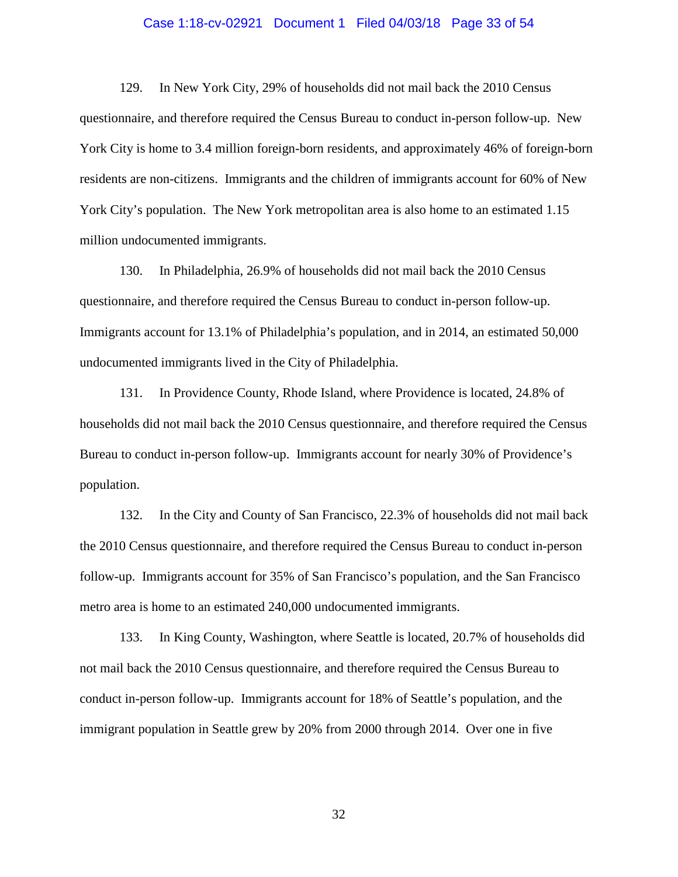## Case 1:18-cv-02921 Document 1 Filed 04/03/18 Page 33 of 54

129. In New York City, 29% of households did not mail back the 2010 Census questionnaire, and therefore required the Census Bureau to conduct in-person follow-up. New York City is home to 3.4 million foreign-born residents, and approximately 46% of foreign-born residents are non-citizens. Immigrants and the children of immigrants account for 60% of New York City's population. The New York metropolitan area is also home to an estimated 1.15 million undocumented immigrants.

130. In Philadelphia, 26.9% of households did not mail back the 2010 Census questionnaire, and therefore required the Census Bureau to conduct in-person follow-up. Immigrants account for 13.1% of Philadelphia's population, and in 2014, an estimated 50,000 undocumented immigrants lived in the City of Philadelphia.

131. In Providence County, Rhode Island, where Providence is located, 24.8% of households did not mail back the 2010 Census questionnaire, and therefore required the Census Bureau to conduct in-person follow-up. Immigrants account for nearly 30% of Providence's population.

132. In the City and County of San Francisco, 22.3% of households did not mail back the 2010 Census questionnaire, and therefore required the Census Bureau to conduct in-person follow-up. Immigrants account for 35% of San Francisco's population, and the San Francisco metro area is home to an estimated 240,000 undocumented immigrants.

133. In King County, Washington, where Seattle is located, 20.7% of households did not mail back the 2010 Census questionnaire, and therefore required the Census Bureau to conduct in-person follow-up. Immigrants account for 18% of Seattle's population, and the immigrant population in Seattle grew by 20% from 2000 through 2014. Over one in five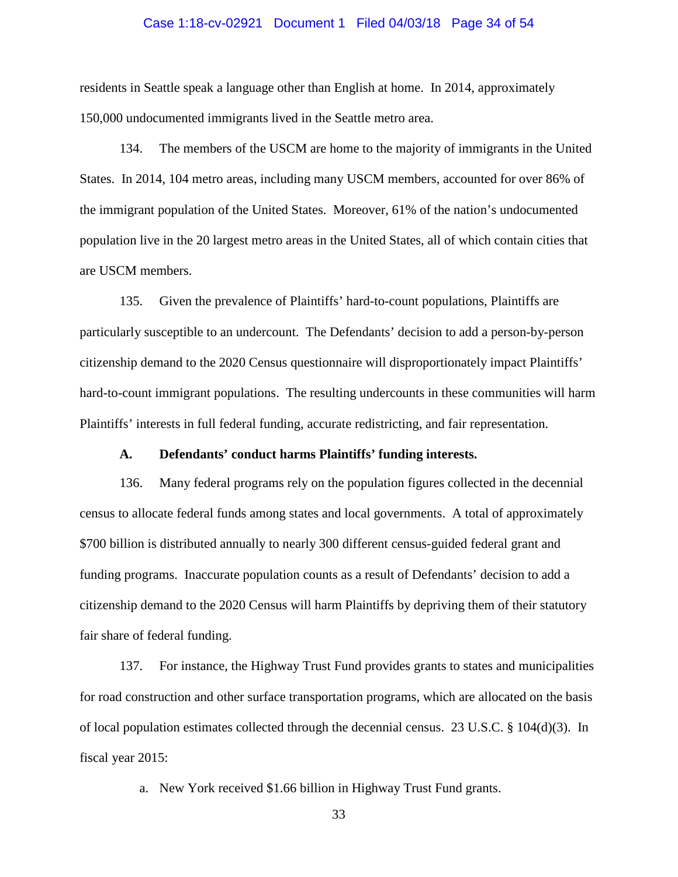## Case 1:18-cv-02921 Document 1 Filed 04/03/18 Page 34 of 54

residents in Seattle speak a language other than English at home. In 2014, approximately 150,000 undocumented immigrants lived in the Seattle metro area.

134. The members of the USCM are home to the majority of immigrants in the United States. In 2014, 104 metro areas, including many USCM members, accounted for over 86% of the immigrant population of the United States. Moreover, 61% of the nation's undocumented population live in the 20 largest metro areas in the United States, all of which contain cities that are USCM members.

135. Given the prevalence of Plaintiffs' hard-to-count populations, Plaintiffs are particularly susceptible to an undercount. The Defendants' decision to add a person-by-person citizenship demand to the 2020 Census questionnaire will disproportionately impact Plaintiffs' hard-to-count immigrant populations. The resulting undercounts in these communities will harm Plaintiffs' interests in full federal funding, accurate redistricting, and fair representation.

# **A. Defendants' conduct harms Plaintiffs' funding interests.**

136. Many federal programs rely on the population figures collected in the decennial census to allocate federal funds among states and local governments. A total of approximately \$700 billion is distributed annually to nearly 300 different census-guided federal grant and funding programs. Inaccurate population counts as a result of Defendants' decision to add a citizenship demand to the 2020 Census will harm Plaintiffs by depriving them of their statutory fair share of federal funding.

137. For instance, the Highway Trust Fund provides grants to states and municipalities for road construction and other surface transportation programs, which are allocated on the basis of local population estimates collected through the decennial census. 23 U.S.C. § 104(d)(3). In fiscal year 2015:

a. New York received \$1.66 billion in Highway Trust Fund grants.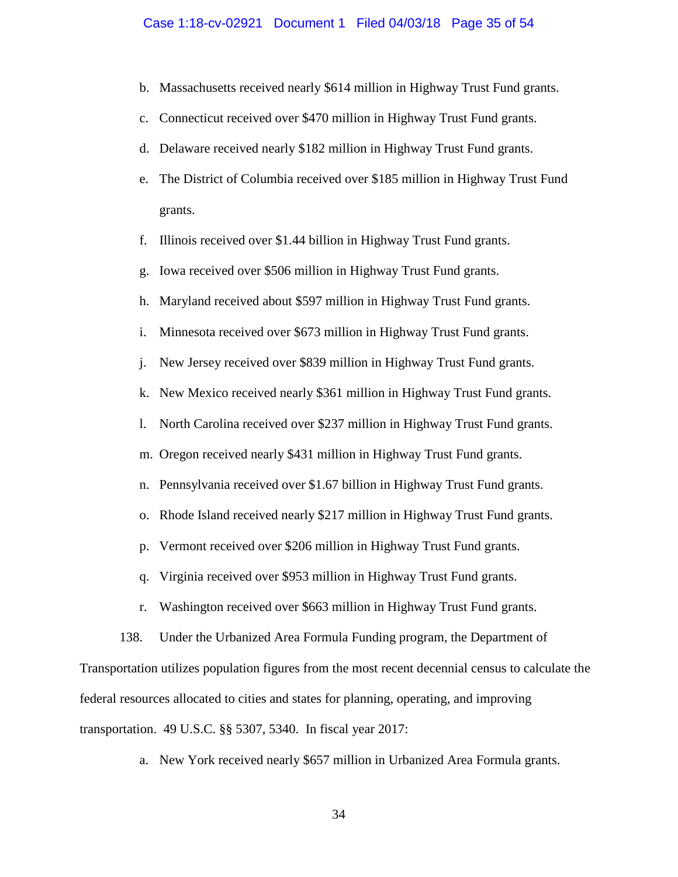#### Case 1:18-cv-02921 Document 1 Filed 04/03/18 Page 35 of 54

- b. Massachusetts received nearly \$614 million in Highway Trust Fund grants.
- c. Connecticut received over \$470 million in Highway Trust Fund grants.
- d. Delaware received nearly \$182 million in Highway Trust Fund grants.
- e. The District of Columbia received over \$185 million in Highway Trust Fund grants.
- f. Illinois received over \$1.44 billion in Highway Trust Fund grants.
- g. Iowa received over \$506 million in Highway Trust Fund grants.
- h. Maryland received about \$597 million in Highway Trust Fund grants.
- i. Minnesota received over \$673 million in Highway Trust Fund grants.
- j. New Jersey received over \$839 million in Highway Trust Fund grants.
- k. New Mexico received nearly \$361 million in Highway Trust Fund grants.
- l. North Carolina received over \$237 million in Highway Trust Fund grants.
- m. Oregon received nearly \$431 million in Highway Trust Fund grants.
- n. Pennsylvania received over \$1.67 billion in Highway Trust Fund grants.
- o. Rhode Island received nearly \$217 million in Highway Trust Fund grants.
- p. Vermont received over \$206 million in Highway Trust Fund grants.
- q. Virginia received over \$953 million in Highway Trust Fund grants.
- r. Washington received over \$663 million in Highway Trust Fund grants.
- 138. Under the Urbanized Area Formula Funding program, the Department of

Transportation utilizes population figures from the most recent decennial census to calculate the federal resources allocated to cities and states for planning, operating, and improving transportation. 49 U.S.C. §§ 5307, 5340. In fiscal year 2017:

a. New York received nearly \$657 million in Urbanized Area Formula grants.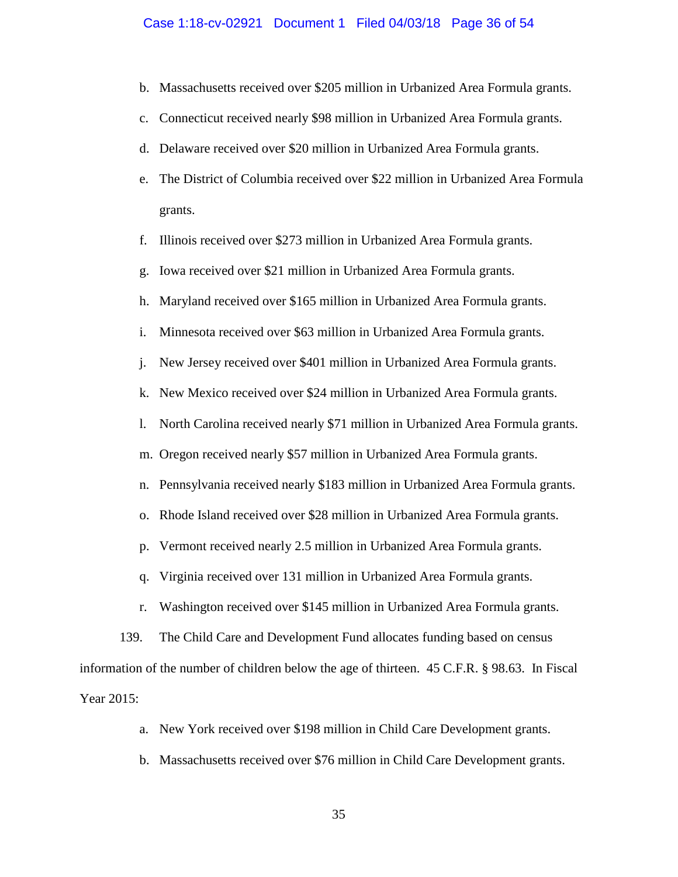#### Case 1:18-cv-02921 Document 1 Filed 04/03/18 Page 36 of 54

- b. Massachusetts received over \$205 million in Urbanized Area Formula grants.
- c. Connecticut received nearly \$98 million in Urbanized Area Formula grants.
- d. Delaware received over \$20 million in Urbanized Area Formula grants.
- e. The District of Columbia received over \$22 million in Urbanized Area Formula grants.
- f. Illinois received over \$273 million in Urbanized Area Formula grants.
- g. Iowa received over \$21 million in Urbanized Area Formula grants.
- h. Maryland received over \$165 million in Urbanized Area Formula grants.
- i. Minnesota received over \$63 million in Urbanized Area Formula grants.
- j. New Jersey received over \$401 million in Urbanized Area Formula grants.
- k. New Mexico received over \$24 million in Urbanized Area Formula grants.
- l. North Carolina received nearly \$71 million in Urbanized Area Formula grants.
- m. Oregon received nearly \$57 million in Urbanized Area Formula grants.
- n. Pennsylvania received nearly \$183 million in Urbanized Area Formula grants.
- o. Rhode Island received over \$28 million in Urbanized Area Formula grants.
- p. Vermont received nearly 2.5 million in Urbanized Area Formula grants.
- q. Virginia received over 131 million in Urbanized Area Formula grants.
- r. Washington received over \$145 million in Urbanized Area Formula grants.

139. The Child Care and Development Fund allocates funding based on census information of the number of children below the age of thirteen. 45 C.F.R. § 98.63. In Fiscal Year 2015:

- a. New York received over \$198 million in Child Care Development grants.
- b. Massachusetts received over \$76 million in Child Care Development grants.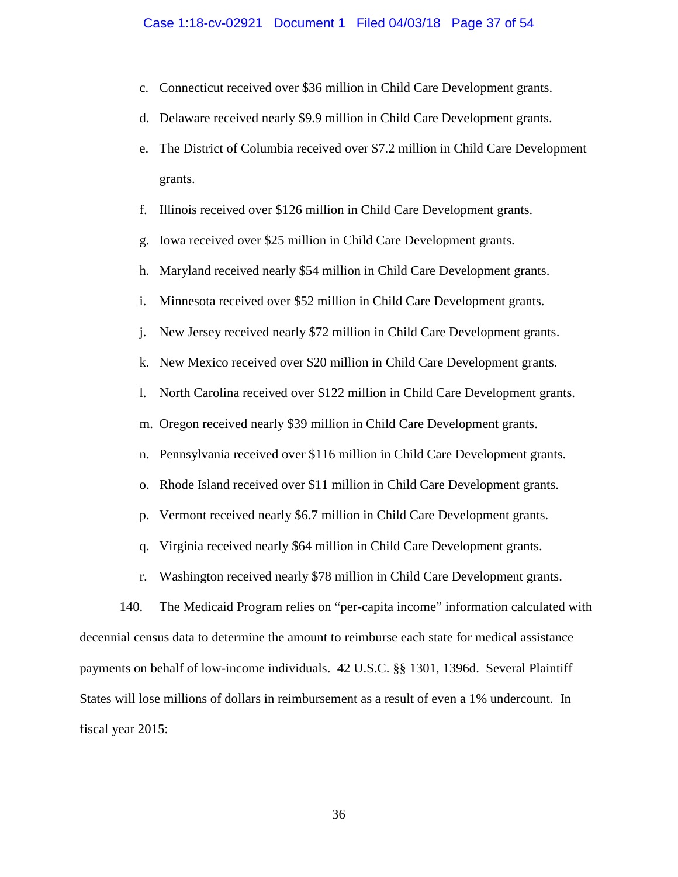#### Case 1:18-cv-02921 Document 1 Filed 04/03/18 Page 37 of 54

- c. Connecticut received over \$36 million in Child Care Development grants.
- d. Delaware received nearly \$9.9 million in Child Care Development grants.
- e. The District of Columbia received over \$7.2 million in Child Care Development grants.
- f. Illinois received over \$126 million in Child Care Development grants.
- g. Iowa received over \$25 million in Child Care Development grants.
- h. Maryland received nearly \$54 million in Child Care Development grants.
- i. Minnesota received over \$52 million in Child Care Development grants.
- j. New Jersey received nearly \$72 million in Child Care Development grants.
- k. New Mexico received over \$20 million in Child Care Development grants.
- l. North Carolina received over \$122 million in Child Care Development grants.
- m. Oregon received nearly \$39 million in Child Care Development grants.
- n. Pennsylvania received over \$116 million in Child Care Development grants.
- o. Rhode Island received over \$11 million in Child Care Development grants.
- p. Vermont received nearly \$6.7 million in Child Care Development grants.
- q. Virginia received nearly \$64 million in Child Care Development grants.
- r. Washington received nearly \$78 million in Child Care Development grants.

140. The Medicaid Program relies on "per-capita income" information calculated with decennial census data to determine the amount to reimburse each state for medical assistance payments on behalf of low-income individuals. 42 U.S.C. §§ 1301, 1396d. Several Plaintiff States will lose millions of dollars in reimbursement as a result of even a 1% undercount. In fiscal year 2015: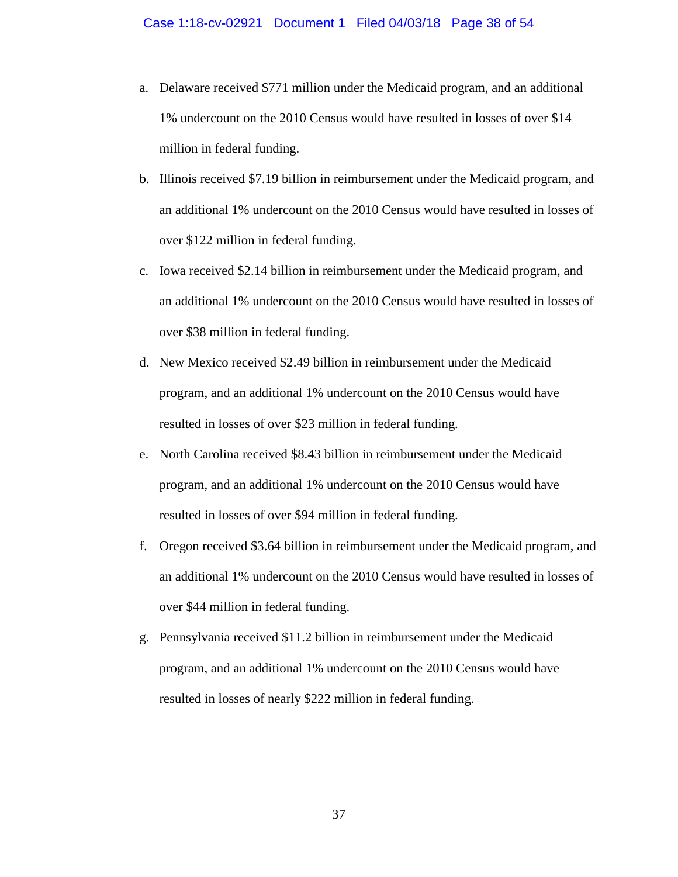- a. Delaware received \$771 million under the Medicaid program, and an additional 1% undercount on the 2010 Census would have resulted in losses of over \$14 million in federal funding.
- b. Illinois received \$7.19 billion in reimbursement under the Medicaid program, and an additional 1% undercount on the 2010 Census would have resulted in losses of over \$122 million in federal funding.
- c. Iowa received \$2.14 billion in reimbursement under the Medicaid program, and an additional 1% undercount on the 2010 Census would have resulted in losses of over \$38 million in federal funding.
- d. New Mexico received \$2.49 billion in reimbursement under the Medicaid program, and an additional 1% undercount on the 2010 Census would have resulted in losses of over \$23 million in federal funding.
- e. North Carolina received \$8.43 billion in reimbursement under the Medicaid program, and an additional 1% undercount on the 2010 Census would have resulted in losses of over \$94 million in federal funding.
- f. Oregon received \$3.64 billion in reimbursement under the Medicaid program, and an additional 1% undercount on the 2010 Census would have resulted in losses of over \$44 million in federal funding.
- g. Pennsylvania received \$11.2 billion in reimbursement under the Medicaid program, and an additional 1% undercount on the 2010 Census would have resulted in losses of nearly \$222 million in federal funding.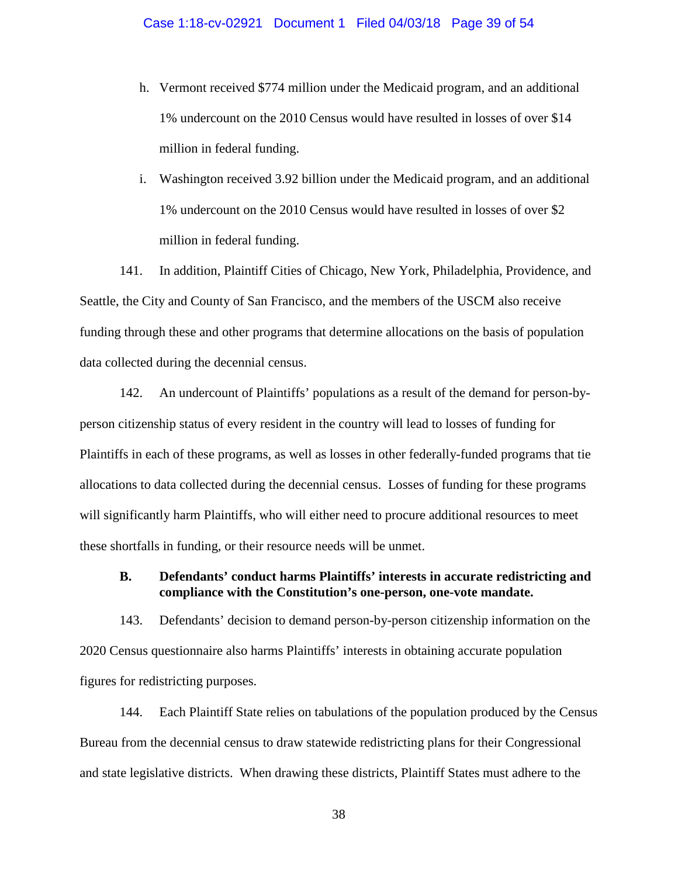- h. Vermont received \$774 million under the Medicaid program, and an additional 1% undercount on the 2010 Census would have resulted in losses of over \$14 million in federal funding.
- i. Washington received 3.92 billion under the Medicaid program, and an additional 1% undercount on the 2010 Census would have resulted in losses of over \$2 million in federal funding.

141. In addition, Plaintiff Cities of Chicago, New York, Philadelphia, Providence, and Seattle, the City and County of San Francisco, and the members of the USCM also receive funding through these and other programs that determine allocations on the basis of population data collected during the decennial census.

142. An undercount of Plaintiffs' populations as a result of the demand for person-byperson citizenship status of every resident in the country will lead to losses of funding for Plaintiffs in each of these programs, as well as losses in other federally-funded programs that tie allocations to data collected during the decennial census. Losses of funding for these programs will significantly harm Plaintiffs, who will either need to procure additional resources to meet these shortfalls in funding, or their resource needs will be unmet.

## **B. Defendants' conduct harms Plaintiffs' interests in accurate redistricting and compliance with the Constitution's one-person, one-vote mandate.**

143. Defendants' decision to demand person-by-person citizenship information on the 2020 Census questionnaire also harms Plaintiffs' interests in obtaining accurate population figures for redistricting purposes.

144. Each Plaintiff State relies on tabulations of the population produced by the Census Bureau from the decennial census to draw statewide redistricting plans for their Congressional and state legislative districts. When drawing these districts, Plaintiff States must adhere to the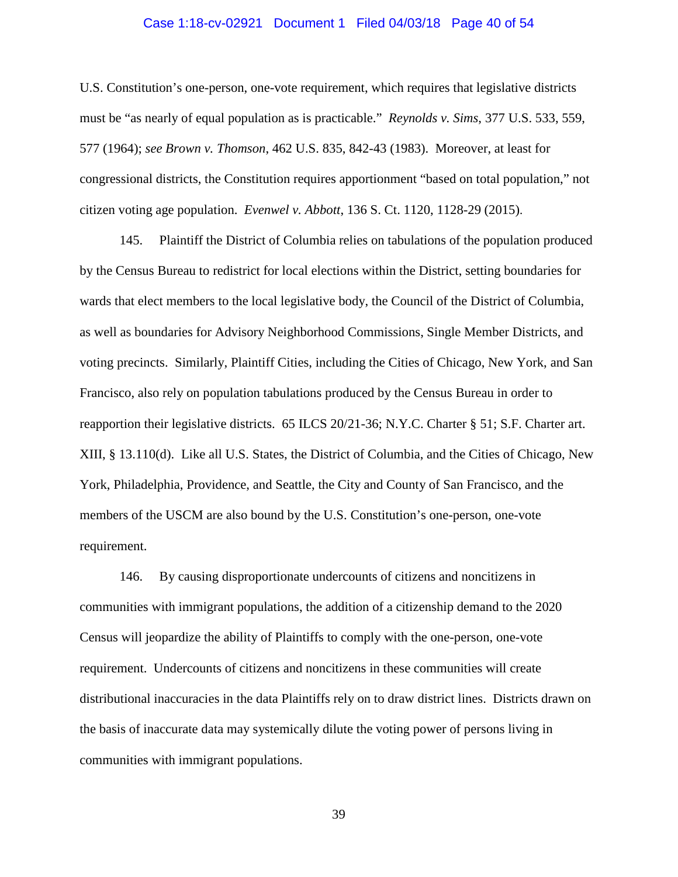#### Case 1:18-cv-02921 Document 1 Filed 04/03/18 Page 40 of 54

U.S. Constitution's one-person, one-vote requirement, which requires that legislative districts must be "as nearly of equal population as is practicable." *Reynolds v. Sims*, 377 U.S. 533, 559, 577 (1964); *see Brown v. Thomson*, 462 U.S. 835, 842-43 (1983). Moreover, at least for congressional districts, the Constitution requires apportionment "based on total population," not citizen voting age population. *Evenwel v. Abbott*, 136 S. Ct. 1120, 1128-29 (2015).

145. Plaintiff the District of Columbia relies on tabulations of the population produced by the Census Bureau to redistrict for local elections within the District, setting boundaries for wards that elect members to the local legislative body, the Council of the District of Columbia, as well as boundaries for Advisory Neighborhood Commissions, Single Member Districts, and voting precincts. Similarly, Plaintiff Cities, including the Cities of Chicago, New York, and San Francisco, also rely on population tabulations produced by the Census Bureau in order to reapportion their legislative districts. 65 ILCS 20/21-36; N.Y.C. Charter § 51; S.F. Charter art. XIII, § 13.110(d). Like all U.S. States, the District of Columbia, and the Cities of Chicago, New York, Philadelphia, Providence, and Seattle, the City and County of San Francisco, and the members of the USCM are also bound by the U.S. Constitution's one-person, one-vote requirement.

146. By causing disproportionate undercounts of citizens and noncitizens in communities with immigrant populations, the addition of a citizenship demand to the 2020 Census will jeopardize the ability of Plaintiffs to comply with the one-person, one-vote requirement. Undercounts of citizens and noncitizens in these communities will create distributional inaccuracies in the data Plaintiffs rely on to draw district lines. Districts drawn on the basis of inaccurate data may systemically dilute the voting power of persons living in communities with immigrant populations.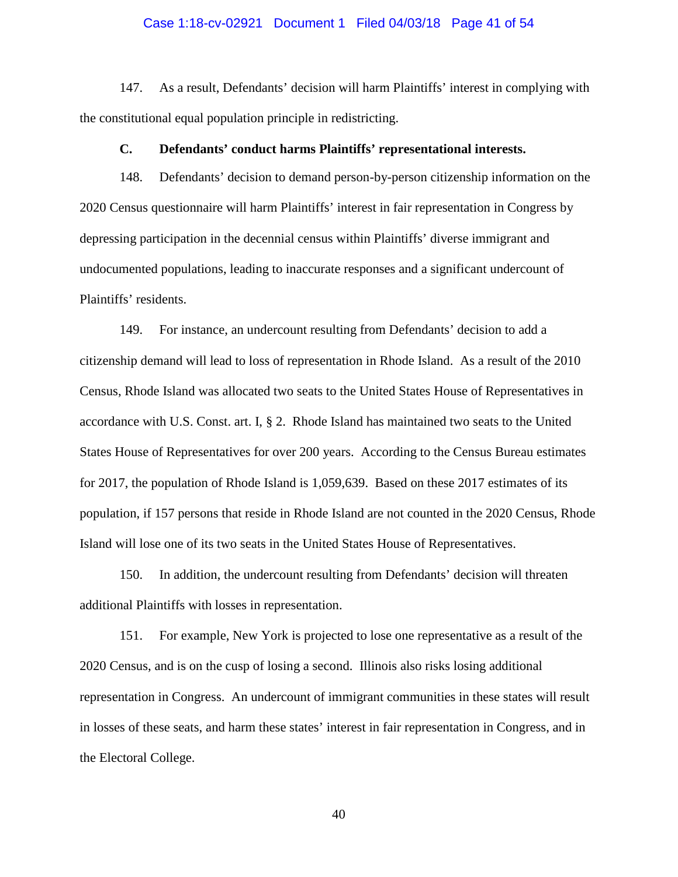## Case 1:18-cv-02921 Document 1 Filed 04/03/18 Page 41 of 54

147. As a result, Defendants' decision will harm Plaintiffs' interest in complying with the constitutional equal population principle in redistricting.

## **C. Defendants' conduct harms Plaintiffs' representational interests.**

148. Defendants' decision to demand person-by-person citizenship information on the 2020 Census questionnaire will harm Plaintiffs' interest in fair representation in Congress by depressing participation in the decennial census within Plaintiffs' diverse immigrant and undocumented populations, leading to inaccurate responses and a significant undercount of Plaintiffs' residents.

149. For instance, an undercount resulting from Defendants' decision to add a citizenship demand will lead to loss of representation in Rhode Island. As a result of the 2010 Census, Rhode Island was allocated two seats to the United States House of Representatives in accordance with U.S. Const. art. I, § 2. Rhode Island has maintained two seats to the United States House of Representatives for over 200 years. According to the Census Bureau estimates for 2017, the population of Rhode Island is 1,059,639. Based on these 2017 estimates of its population, if 157 persons that reside in Rhode Island are not counted in the 2020 Census, Rhode Island will lose one of its two seats in the United States House of Representatives.

150. In addition, the undercount resulting from Defendants' decision will threaten additional Plaintiffs with losses in representation.

151. For example, New York is projected to lose one representative as a result of the 2020 Census, and is on the cusp of losing a second. Illinois also risks losing additional representation in Congress. An undercount of immigrant communities in these states will result in losses of these seats, and harm these states' interest in fair representation in Congress, and in the Electoral College.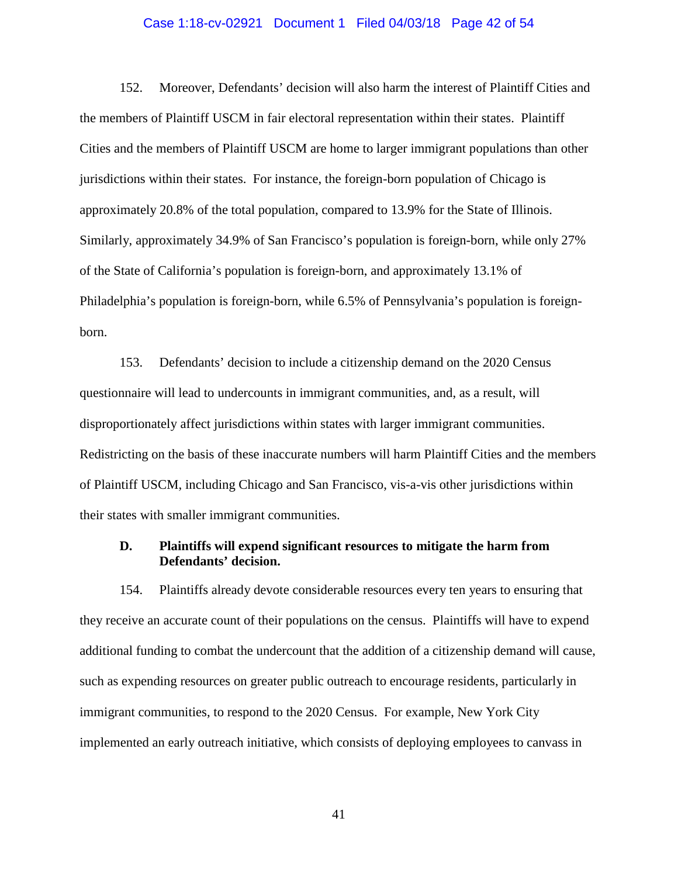## Case 1:18-cv-02921 Document 1 Filed 04/03/18 Page 42 of 54

152. Moreover, Defendants' decision will also harm the interest of Plaintiff Cities and the members of Plaintiff USCM in fair electoral representation within their states. Plaintiff Cities and the members of Plaintiff USCM are home to larger immigrant populations than other jurisdictions within their states. For instance, the foreign-born population of Chicago is approximately 20.8% of the total population, compared to 13.9% for the State of Illinois. Similarly, approximately 34.9% of San Francisco's population is foreign-born, while only 27% of the State of California's population is foreign-born, and approximately 13.1% of Philadelphia's population is foreign-born, while 6.5% of Pennsylvania's population is foreignborn.

153. Defendants' decision to include a citizenship demand on the 2020 Census questionnaire will lead to undercounts in immigrant communities, and, as a result, will disproportionately affect jurisdictions within states with larger immigrant communities. Redistricting on the basis of these inaccurate numbers will harm Plaintiff Cities and the members of Plaintiff USCM, including Chicago and San Francisco, vis-a-vis other jurisdictions within their states with smaller immigrant communities.

## **D. Plaintiffs will expend significant resources to mitigate the harm from Defendants' decision.**

154. Plaintiffs already devote considerable resources every ten years to ensuring that they receive an accurate count of their populations on the census. Plaintiffs will have to expend additional funding to combat the undercount that the addition of a citizenship demand will cause, such as expending resources on greater public outreach to encourage residents, particularly in immigrant communities, to respond to the 2020 Census. For example, New York City implemented an early outreach initiative, which consists of deploying employees to canvass in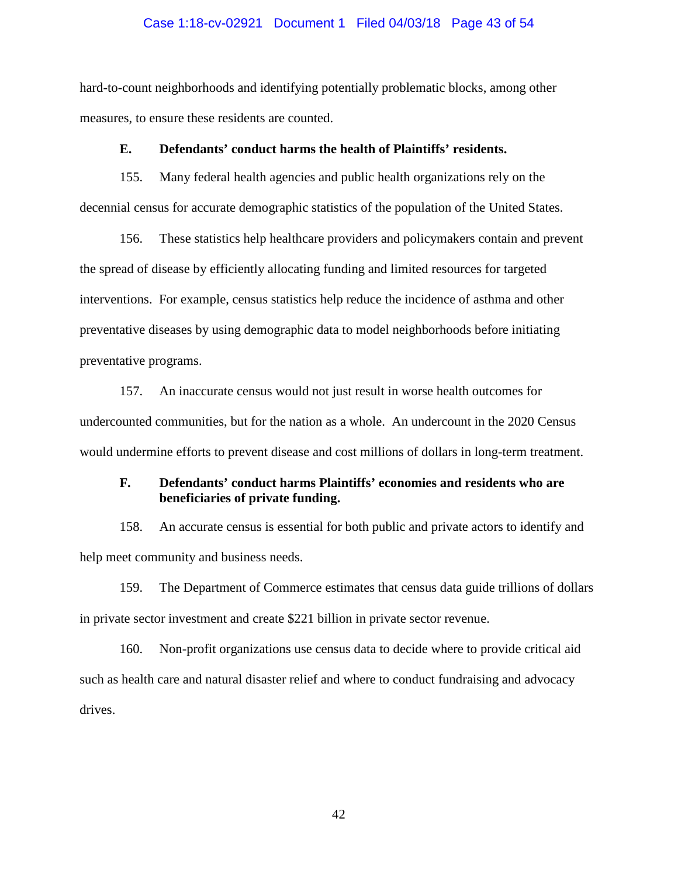## Case 1:18-cv-02921 Document 1 Filed 04/03/18 Page 43 of 54

hard-to-count neighborhoods and identifying potentially problematic blocks, among other measures, to ensure these residents are counted.

## **E. Defendants' conduct harms the health of Plaintiffs' residents.**

155. Many federal health agencies and public health organizations rely on the decennial census for accurate demographic statistics of the population of the United States.

156. These statistics help healthcare providers and policymakers contain and prevent the spread of disease by efficiently allocating funding and limited resources for targeted interventions. For example, census statistics help reduce the incidence of asthma and other preventative diseases by using demographic data to model neighborhoods before initiating preventative programs.

157. An inaccurate census would not just result in worse health outcomes for undercounted communities, but for the nation as a whole. An undercount in the 2020 Census would undermine efforts to prevent disease and cost millions of dollars in long-term treatment.

# **F. Defendants' conduct harms Plaintiffs' economies and residents who are beneficiaries of private funding.**

158. An accurate census is essential for both public and private actors to identify and help meet community and business needs.

159. The Department of Commerce estimates that census data guide trillions of dollars in private sector investment and create \$221 billion in private sector revenue.

160. Non-profit organizations use census data to decide where to provide critical aid such as health care and natural disaster relief and where to conduct fundraising and advocacy drives.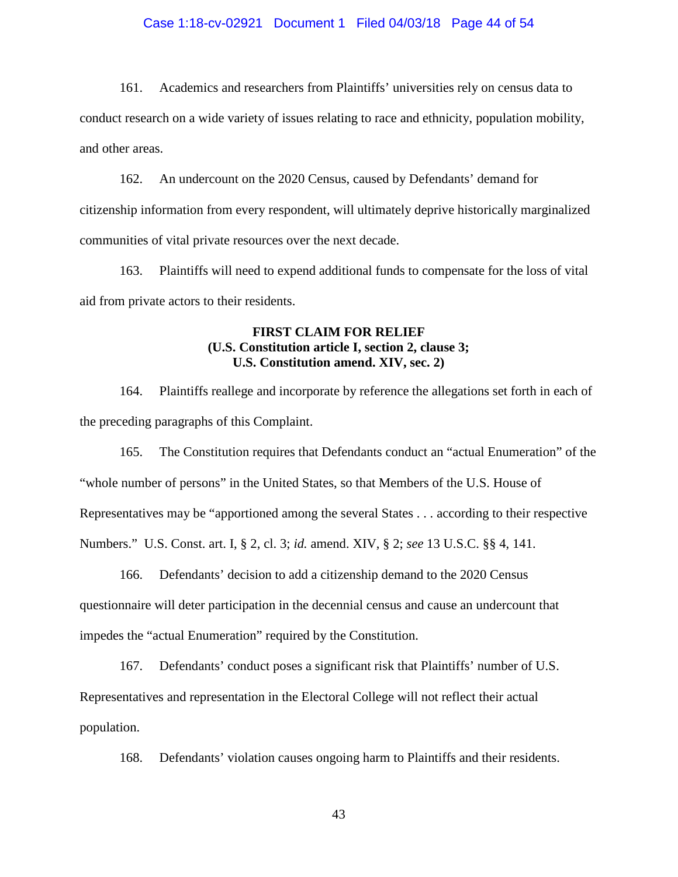## Case 1:18-cv-02921 Document 1 Filed 04/03/18 Page 44 of 54

161. Academics and researchers from Plaintiffs' universities rely on census data to conduct research on a wide variety of issues relating to race and ethnicity, population mobility, and other areas.

162. An undercount on the 2020 Census, caused by Defendants' demand for citizenship information from every respondent, will ultimately deprive historically marginalized communities of vital private resources over the next decade.

163. Plaintiffs will need to expend additional funds to compensate for the loss of vital aid from private actors to their residents.

# **FIRST CLAIM FOR RELIEF (U.S. Constitution article I, section 2, clause 3; U.S. Constitution amend. XIV, sec. 2)**

164. Plaintiffs reallege and incorporate by reference the allegations set forth in each of the preceding paragraphs of this Complaint.

165. The Constitution requires that Defendants conduct an "actual Enumeration" of the "whole number of persons" in the United States, so that Members of the U.S. House of Representatives may be "apportioned among the several States . . . according to their respective Numbers." U.S. Const. art. I, § 2, cl. 3; *id.* amend. XIV, § 2; *see* 13 U.S.C. §§ 4, 141.

166. Defendants' decision to add a citizenship demand to the 2020 Census questionnaire will deter participation in the decennial census and cause an undercount that impedes the "actual Enumeration" required by the Constitution.

167. Defendants' conduct poses a significant risk that Plaintiffs' number of U.S. Representatives and representation in the Electoral College will not reflect their actual population.

168. Defendants' violation causes ongoing harm to Plaintiffs and their residents.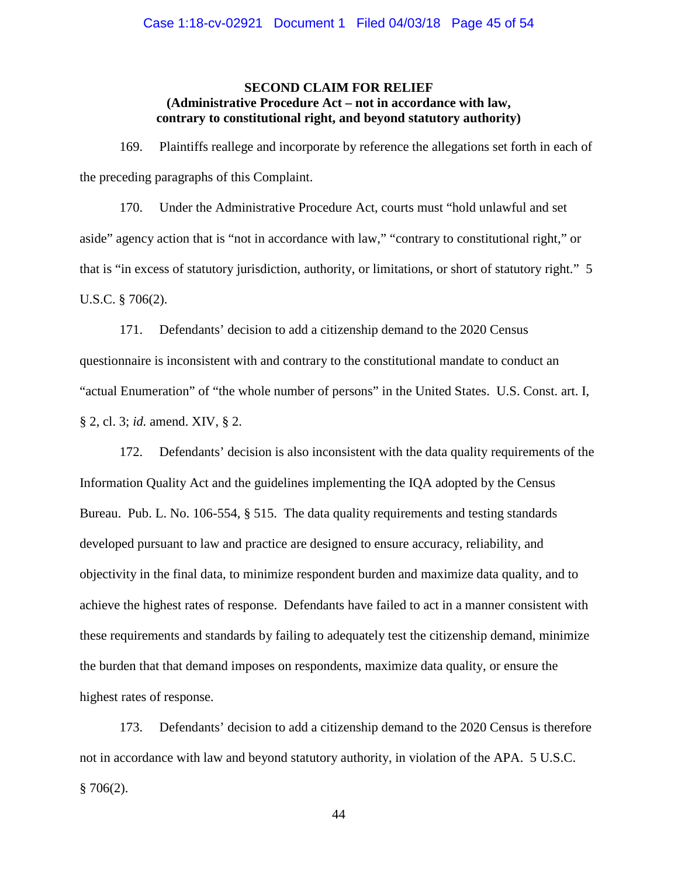## **SECOND CLAIM FOR RELIEF (Administrative Procedure Act – not in accordance with law, contrary to constitutional right, and beyond statutory authority)**

169. Plaintiffs reallege and incorporate by reference the allegations set forth in each of the preceding paragraphs of this Complaint.

170. Under the Administrative Procedure Act, courts must "hold unlawful and set aside" agency action that is "not in accordance with law," "contrary to constitutional right," or that is "in excess of statutory jurisdiction, authority, or limitations, or short of statutory right." 5 U.S.C. § 706(2).

171. Defendants' decision to add a citizenship demand to the 2020 Census questionnaire is inconsistent with and contrary to the constitutional mandate to conduct an "actual Enumeration" of "the whole number of persons" in the United States. U.S. Const. art. I, § 2, cl. 3; *id.* amend. XIV, § 2.

172. Defendants' decision is also inconsistent with the data quality requirements of the Information Quality Act and the guidelines implementing the IQA adopted by the Census Bureau. Pub. L. No. 106-554, § 515. The data quality requirements and testing standards developed pursuant to law and practice are designed to ensure accuracy, reliability, and objectivity in the final data, to minimize respondent burden and maximize data quality, and to achieve the highest rates of response. Defendants have failed to act in a manner consistent with these requirements and standards by failing to adequately test the citizenship demand, minimize the burden that that demand imposes on respondents, maximize data quality, or ensure the highest rates of response.

173. Defendants' decision to add a citizenship demand to the 2020 Census is therefore not in accordance with law and beyond statutory authority, in violation of the APA. 5 U.S.C.  $§ 706(2).$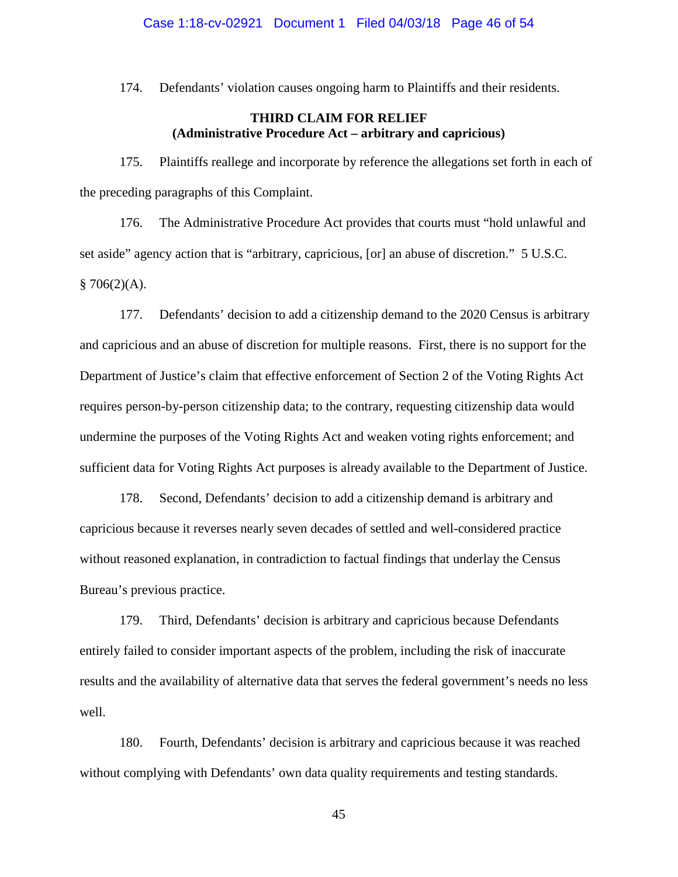## Case 1:18-cv-02921 Document 1 Filed 04/03/18 Page 46 of 54

174. Defendants' violation causes ongoing harm to Plaintiffs and their residents.

# **THIRD CLAIM FOR RELIEF (Administrative Procedure Act – arbitrary and capricious)**

175. Plaintiffs reallege and incorporate by reference the allegations set forth in each of the preceding paragraphs of this Complaint.

176. The Administrative Procedure Act provides that courts must "hold unlawful and set aside" agency action that is "arbitrary, capricious, [or] an abuse of discretion." 5 U.S.C.  $$706(2)(A).$ 

177. Defendants' decision to add a citizenship demand to the 2020 Census is arbitrary and capricious and an abuse of discretion for multiple reasons. First, there is no support for the Department of Justice's claim that effective enforcement of Section 2 of the Voting Rights Act requires person-by-person citizenship data; to the contrary, requesting citizenship data would undermine the purposes of the Voting Rights Act and weaken voting rights enforcement; and sufficient data for Voting Rights Act purposes is already available to the Department of Justice.

178. Second, Defendants' decision to add a citizenship demand is arbitrary and capricious because it reverses nearly seven decades of settled and well-considered practice without reasoned explanation, in contradiction to factual findings that underlay the Census Bureau's previous practice.

179. Third, Defendants' decision is arbitrary and capricious because Defendants entirely failed to consider important aspects of the problem, including the risk of inaccurate results and the availability of alternative data that serves the federal government's needs no less well.

180. Fourth, Defendants' decision is arbitrary and capricious because it was reached without complying with Defendants' own data quality requirements and testing standards.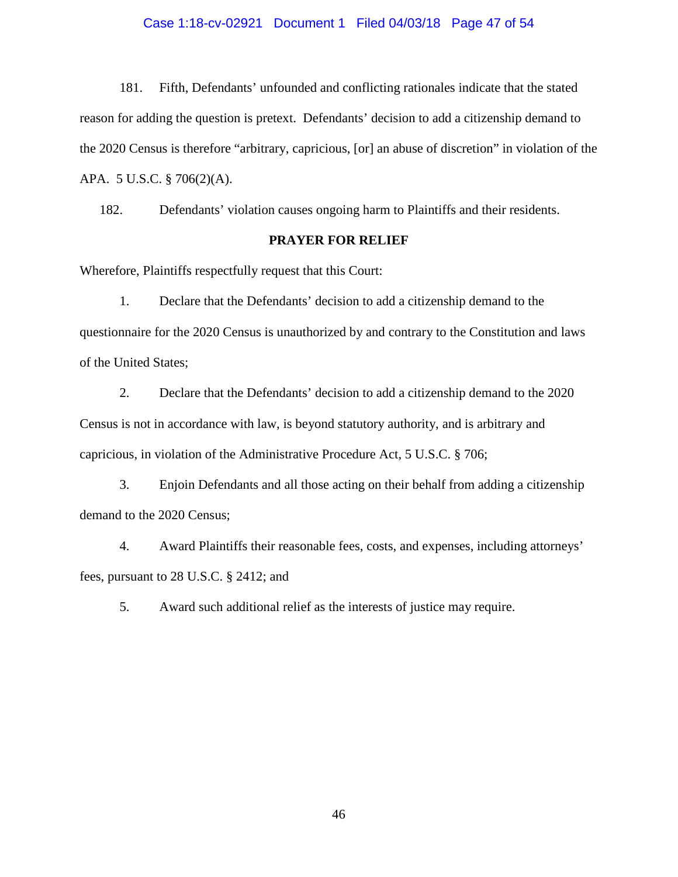## Case 1:18-cv-02921 Document 1 Filed 04/03/18 Page 47 of 54

181. Fifth, Defendants' unfounded and conflicting rationales indicate that the stated reason for adding the question is pretext. Defendants' decision to add a citizenship demand to the 2020 Census is therefore "arbitrary, capricious, [or] an abuse of discretion" in violation of the APA. 5 U.S.C. § 706(2)(A).

182. Defendants' violation causes ongoing harm to Plaintiffs and their residents.

## **PRAYER FOR RELIEF**

Wherefore, Plaintiffs respectfully request that this Court:

1. Declare that the Defendants' decision to add a citizenship demand to the questionnaire for the 2020 Census is unauthorized by and contrary to the Constitution and laws of the United States;

2. Declare that the Defendants' decision to add a citizenship demand to the 2020 Census is not in accordance with law, is beyond statutory authority, and is arbitrary and capricious, in violation of the Administrative Procedure Act, 5 U.S.C. § 706;

3. Enjoin Defendants and all those acting on their behalf from adding a citizenship demand to the 2020 Census;

4. Award Plaintiffs their reasonable fees, costs, and expenses, including attorneys' fees, pursuant to 28 U.S.C. § 2412; and

5. Award such additional relief as the interests of justice may require.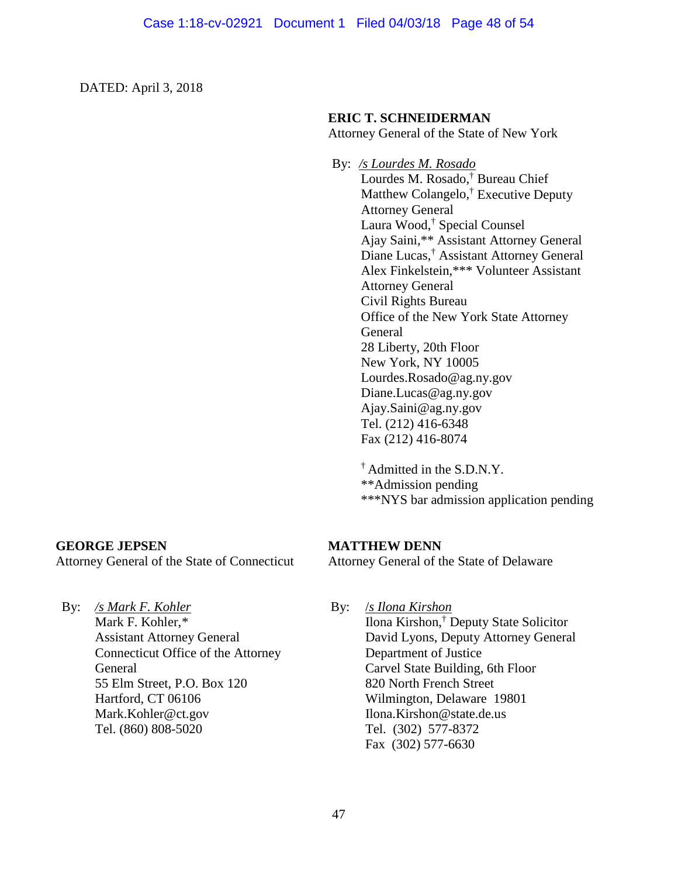DATED: April 3, 2018

# **ERIC T. SCHNEIDERMAN**

Attorney General of the State of New York

By: */s Lourdes M. Rosado*  Lourdes M. Rosado,† Bureau Chief Matthew Colangelo,† Executive Deputy Attorney General Laura Wood,† Special Counsel Ajay Saini,\*\* Assistant Attorney General Diane Lucas,† Assistant Attorney General Alex Finkelstein,\*\*\* Volunteer Assistant Attorney General Civil Rights Bureau Office of the New York State Attorney General 28 Liberty, 20th Floor New York, NY 10005 [Lourdes.Rosado@ag.ny.gov](mailto:Lourdes.Rosado@ag.ny.gov) [Diane.Lucas@ag.ny.gov](mailto:Diane.Lucas@ag.ny.gov) [Ajay.Saini@ag.ny.gov](mailto:Ajay.Saini@ag.ny.gov) Tel. (212) 416-6348 Fax (212) 416-8074

> † Admitted in the S.D.N.Y. \*\*Admission pending \*\*\*NYS bar admission application pending

# **GEORGE JEPSEN**

Attorney General of the State of Connecticut

**MATTHEW DENN**

Attorney General of the State of Delaware

By: */s Mark F. Kohler*

Mark F. Kohler,*\** Assistant Attorney General Connecticut Office of the Attorney **General** 55 Elm Street, P.O. Box 120 Hartford, CT 06106 [Mark.Kohler@ct.gov](mailto:Mark.Kohler@ct.gov) Tel. (860) 808-5020

By: /*s Ilona Kirshon* Ilona Kirshon,† Deputy State Solicitor David Lyons, Deputy Attorney General Department of Justice Carvel State Building, 6th Floor 820 North French Street Wilmington, Delaware 19801 Ilona.Kirshon@state.de.us Tel. (302) 577-8372 Fax (302) 577-6630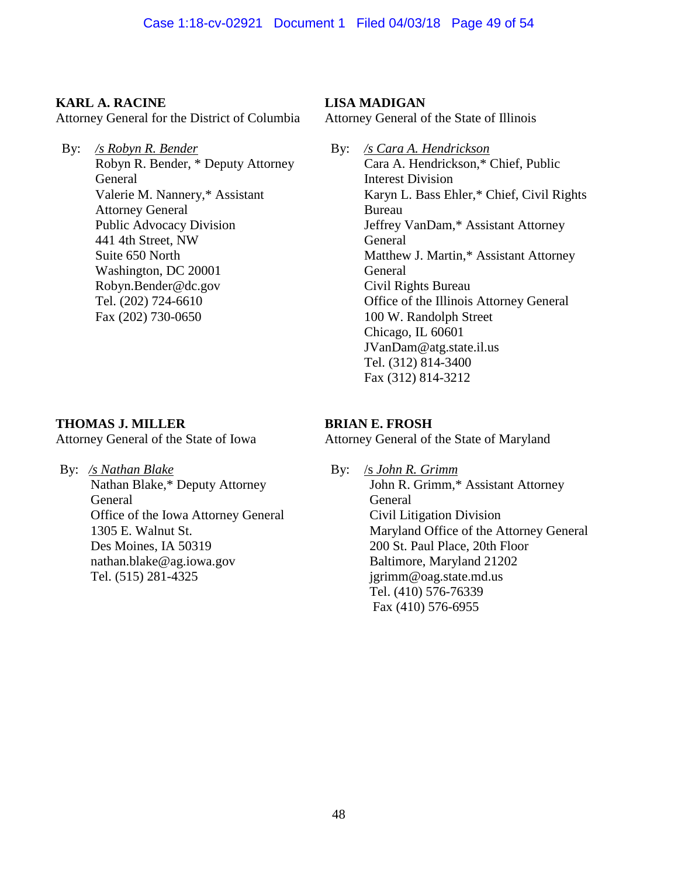# **KARL A. RACINE**

Attorney General for the District of Columbia

By: */s Robyn R. Bender* Robyn R. Bender, \* Deputy Attorney General Valerie M. Nannery,\* Assistant Attorney General Public Advocacy Division 441 4th Street, NW Suite 650 North Washington, DC 20001 Robyn.Bender@dc.gov Tel. (202) 724-6610 Fax (202) 730-0650

# **THOMAS J. MILLER**

Attorney General of the State of Iowa

By: */s Nathan Blake*  Nathan Blake,\* Deputy Attorney General Office of the Iowa Attorney General 1305 E. Walnut St. Des Moines, IA 50319 nathan.blake@ag.iowa.gov Tel. (515) 281-4325

# **LISA MADIGAN**

Attorney General of the State of Illinois

By: */s Cara A. Hendrickson* Cara A. Hendrickson,\* Chief, Public Interest Division Karyn L. Bass Ehler,\* Chief, Civil Rights Bureau Jeffrey VanDam,\* Assistant Attorney General Matthew J. Martin,\* Assistant Attorney General Civil Rights Bureau Office of the Illinois Attorney General 100 W. Randolph Street Chicago, IL 60601 JVanDam@atg.state.il.us Tel. (312) 814-3400 Fax (312) 814-3212

# **BRIAN E. FROSH**

Attorney General of the State of Maryland

By: /s *John R. Grimm* John R. Grimm,\* Assistant Attorney General Civil Litigation Division Maryland Office of the Attorney General 200 St. Paul Place, 20th Floor Baltimore, Maryland 21202 jgrimm@oag.state.md.us Tel. (410) 576-76339 Fax (410) 576-6955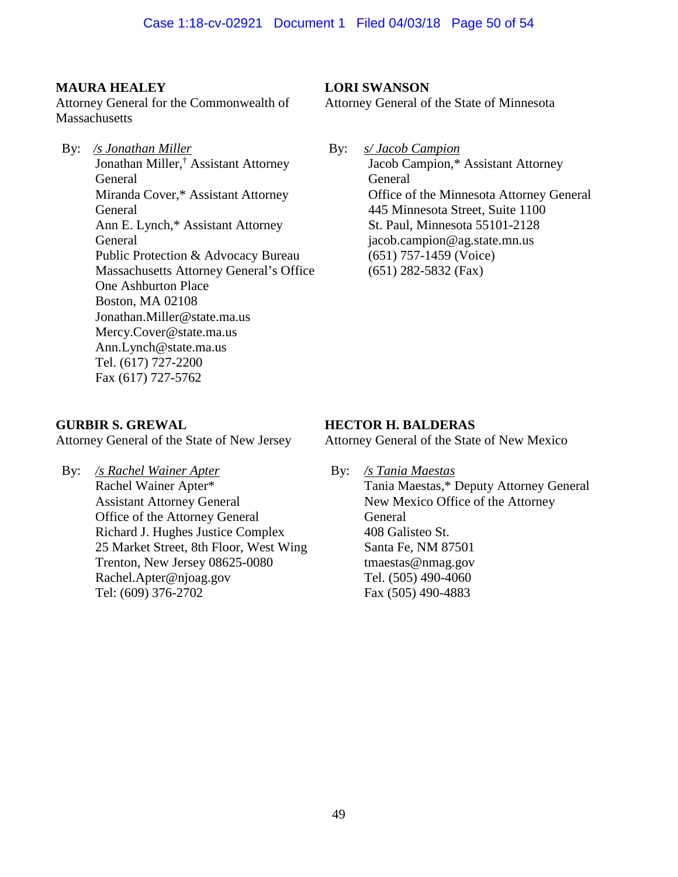# **MAURA HEALEY**

Attorney General for the Commonwealth of **Massachusetts** 

By: */s Jonathan Miller*  Jonathan Miller,† Assistant Attorney General Miranda Cover,\* Assistant Attorney General Ann E. Lynch,\* Assistant Attorney General Public Protection & Advocacy Bureau Massachusetts Attorney General's Office One Ashburton Place Boston, MA 02108 Jonathan.Miller@state.ma.us Mercy.Cover@state.ma.us Ann.Lynch@state.ma.us Tel. (617) 727-2200 Fax (617) 727-5762

# **LORI SWANSON**

Attorney General of the State of Minnesota

By: *s/ Jacob Campion* Jacob Campion,\* Assistant Attorney General Office of the Minnesota Attorney General 445 Minnesota Street, Suite 1100 St. Paul, Minnesota 55101-2128 jacob.campion@ag.state.mn.us (651) 757-1459 (Voice) (651) 282-5832 (Fax)

## **GURBIR S. GREWAL**

Attorney General of the State of New Jersey

By: */s Rachel Wainer Apter* Rachel Wainer Apter\* Assistant Attorney General Office of the Attorney General Richard J. Hughes Justice Complex 25 Market Street, 8th Floor, West Wing Trenton, New Jersey 08625-0080 Rachel.Apter@njoag.gov Tel: (609) 376-2702

## **HECTOR H. BALDERAS**

Attorney General of the State of New Mexico

By: */s Tania Maestas*

Tania Maestas,\* Deputy Attorney General New Mexico Office of the Attorney General 408 Galisteo St. Santa Fe, NM 87501 tmaestas@nmag.gov Tel. (505) 490-4060 Fax (505) 490-4883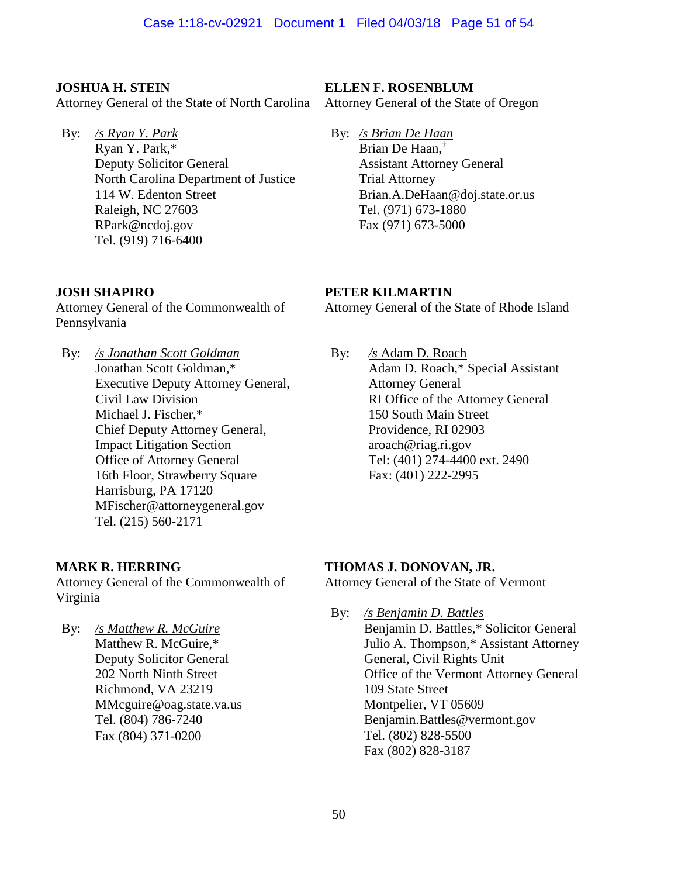# **JOSHUA H. STEIN**

Attorney General of the State of North Carolina

By: */s Ryan Y. Park* Ryan Y. Park,\* Deputy Solicitor General North Carolina Department of Justice 114 W. Edenton Street Raleigh, NC 27603 RPark@ncdoj.gov Tel. (919) 716-6400

# **JOSH SHAPIRO**

Attorney General of the Commonwealth of Pennsylvania

By: */s Jonathan Scott Goldman* Jonathan Scott Goldman,\* Executive Deputy Attorney General, Civil Law Division Michael J. Fischer,\* Chief Deputy Attorney General, Impact Litigation Section Office of Attorney General 16th Floor, Strawberry Square Harrisburg, PA 17120 MFischer@attorneygeneral.gov Tel. (215) 560-2171

# **MARK R. HERRING**

Attorney General of the Commonwealth of Virginia

By: */s Matthew R. McGuire*  Matthew R. McGuire,\* Deputy Solicitor General 202 North Ninth Street Richmond, VA 23219 MMcguire@oag.state.va.us Tel. (804) 786-7240 Fax (804) 371-0200

# **ELLEN F. ROSENBLUM**

Attorney General of the State of Oregon

By: */s Brian De Haan* Brian De Haan,† Assistant Attorney General Trial Attorney Brian.A.DeHaan@doj.state.or.us Tel. (971) 673-1880 Fax (971) 673-5000

# **PETER KILMARTIN**

Attorney General of the State of Rhode Island

By: */s* Adam D. Roach Adam D. Roach,\* Special Assistant Attorney General RI Office of the Attorney General 150 South Main Street Providence, RI 02903 aroach@riag.ri.gov Tel: (401) 274-4400 ext. 2490 Fax: (401) 222-2995

# **THOMAS J. DONOVAN, JR.**

Attorney General of the State of Vermont

By: */s Benjamin D. Battles* Benjamin D. Battles,\* Solicitor General Julio A. Thompson,\* Assistant Attorney General, Civil Rights Unit Office of the Vermont Attorney General 109 State Street Montpelier, VT 05609 [Benjamin.Battles@vermont.gov](mailto:Benjamin.Battles@vermont.gov) Tel. (802) 828-5500 Fax (802) 828-3187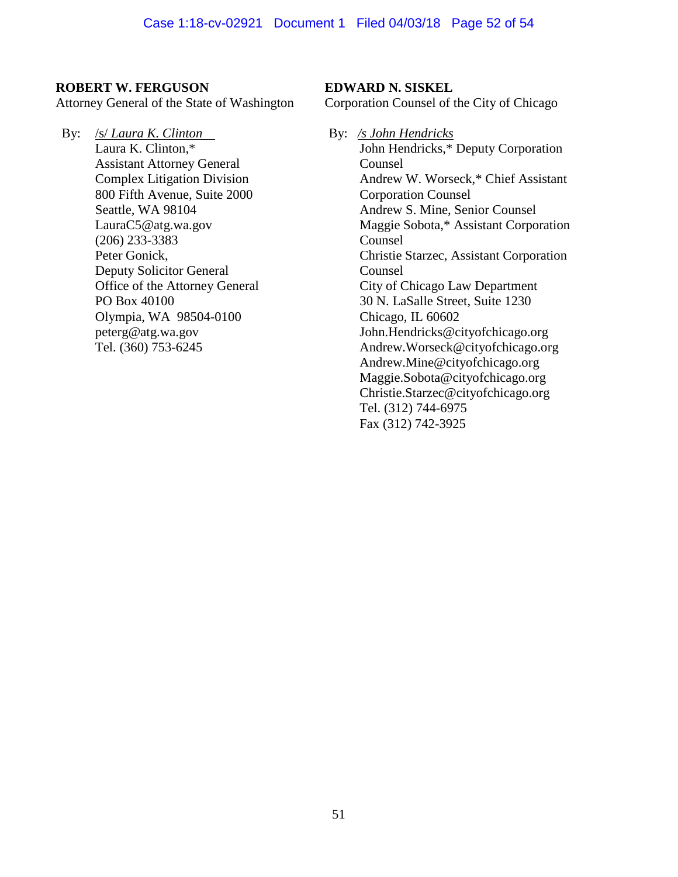## **ROBERT W. FERGUSON**

Attorney General of the State of Washington

By: /s/ *Laura K. Clinton* Laura K. Clinton,\* Assistant Attorney General Complex Litigation Division 800 Fifth Avenue, Suite 2000 Seattle, WA 98104 LauraC5@atg.wa.gov (206) 233-3383 Peter Gonick, Deputy Solicitor General Office of the Attorney General PO Box 40100 Olympia, WA 98504-0100 peterg@atg.wa.gov Tel. (360) 753-6245

## **EDWARD N. SISKEL**

Corporation Counsel of the City of Chicago

By: */s John Hendricks*  John Hendricks,\* Deputy Corporation Counsel Andrew W. Worseck,\* Chief Assistant Corporation Counsel Andrew S. Mine, Senior Counsel Maggie Sobota,\* Assistant Corporation Counsel Christie Starzec, Assistant Corporation Counsel City of Chicago Law Department 30 N. LaSalle Street, Suite 1230 Chicago, IL 60602 John.Hendricks@cityofchicago.org Andrew.Worseck@cityofchicago.org Andrew.Mine@cityofchicago.org Maggie.Sobota@cityofchicago.org Christie.Starzec@cityofchicago.org Tel. (312) 744-6975 Fax (312) 742-3925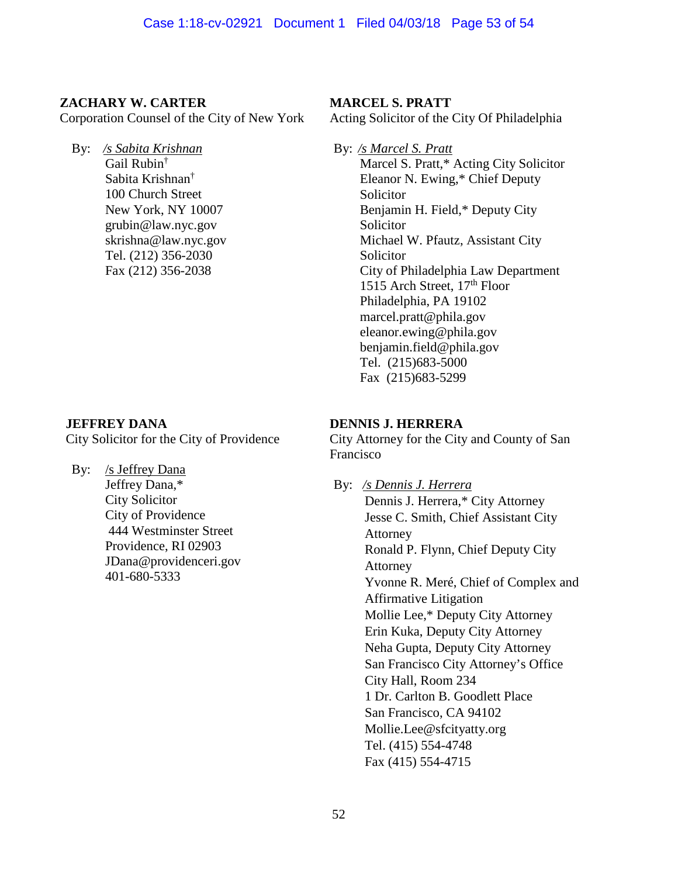# **ZACHARY W. CARTER**

Corporation Counsel of the City of New York

By: */s Sabita Krishnan*  Gail Rubin† Sabita Krishnan† 100 Church Street New York, NY 10007 grubin@law.nyc.gov skrishna@law.nyc.gov Tel. (212) 356-2030 Fax (212) 356-2038

# **JEFFREY DANA**

City Solicitor for the City of Providence

By: /s Jeffrey Dana Jeffrey Dana,\* City Solicitor City of Providence 444 Westminster Street Providence, RI 02903 JDana@providenceri.gov 401-680-5333

# **MARCEL S. PRATT**

Acting Solicitor of the City Of Philadelphia

By: */s Marcel S. Pratt*  Marcel S. Pratt,\* Acting City Solicitor Eleanor N. Ewing,\* Chief Deputy Solicitor Benjamin H. Field,\* Deputy City Solicitor Michael W. Pfautz, Assistant City Solicitor City of Philadelphia Law Department 1515 Arch Street,  $17<sup>th</sup>$  Floor Philadelphia, PA 19102 marcel.pratt@phila.gov eleanor.ewing@phila.gov benjamin.field@phila.gov Tel. (215)683-5000 Fax (215)683-5299

# **DENNIS J. HERRERA**

City Attorney for the City and County of San Francisco

By: */s Dennis J. Herrera*  Dennis J. Herrera,\* City Attorney Jesse C. Smith, Chief Assistant City Attorney Ronald P. Flynn, Chief Deputy City Attorney Yvonne R. Meré, Chief of Complex and Affirmative Litigation Mollie Lee,\* Deputy City Attorney Erin Kuka, Deputy City Attorney Neha Gupta, Deputy City Attorney San Francisco City Attorney's Office City Hall, Room 234 1 Dr. Carlton B. Goodlett Place San Francisco, CA 94102 Mollie.Lee@sfcityatty.org Tel. (415) 554-4748 Fax (415) 554-4715